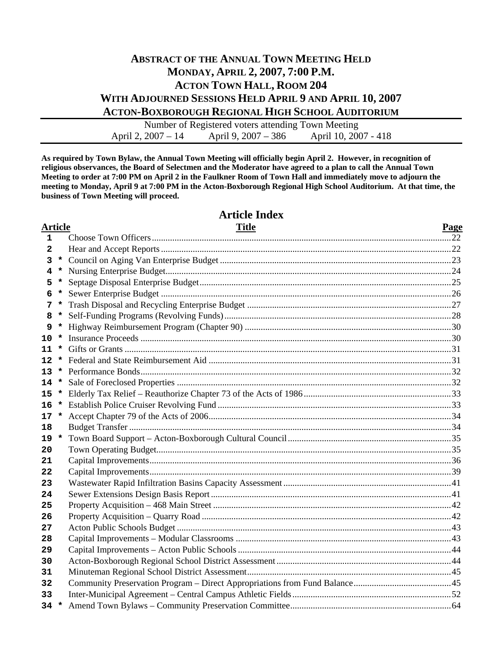## **ABSTRACT OF THE ANNUAL TOWN MEETING HELD MONDAY, APRIL 2, 2007, 7:00 P.M. ACTON TOWN HALL, ROOM 204 WITH ADJOURNED SESSIONS HELD APRIL 9 AND APRIL 10, 2007 ACTON-BOXBOROUGH REGIONAL HIGH SCHOOL AUDITORIUM**

Number of Registered voters attending Town Meeting April 2, 2007 – 14 April 9, 2007 – 386 April 10, 2007 - 418

**As required by Town Bylaw, the Annual Town Meeting will officially begin April 2. However, in recognition of religious observances, the Board of Selectmen and the Moderator have agreed to a plan to call the Annual Town Meeting to order at 7:00 PM on April 2 in the Faulkner Room of Town Hall and immediately move to adjourn the meeting to Monday, April 9 at 7:00 PM in the Acton-Boxborough Regional High School Auditorium. At that time, the business of Town Meeting will proceed.** 

#### **Article Title Page 1** Choose Town Officers....................................................................................................................................22  **2** Hear and Accept Reports ................................................................................................................................22  **3 \*** Council on Aging Van Enterprise Budget ......................................................................................................23  **4 \*** Nursing Enterprise Budget..............................................................................................................................24  **5 \*** Septage Disposal Enterprise Budget...............................................................................................................25  **6 \*** Sewer Enterprise Budget ................................................................................................................................26  **7 \*** Trash Disposal and Recycling Enterprise Budget ..........................................................................................27  **8 \*** Self-Funding Programs (Revolving Funds)....................................................................................................28  **9 \*** Highway Reimbursement Program (Chapter 90) ...........................................................................................30 **10 \*** Insurance Proceeds .........................................................................................................................................30 **11 \*** Gifts or Grants ................................................................................................................................................31 **12 \*** Federal and State Reimbursement Aid ...........................................................................................................31 **13 \*** Performance Bonds.........................................................................................................................................32 **14 \*** Sale of Foreclosed Properties .........................................................................................................................32 **15 \*** Elderly Tax Relief – Reauthorize Chapter 73 of the Acts of 1986 .................................................................33 **16 \*** Establish Police Cruiser Revolving Fund .......................................................................................................33 **17 \*** Accept Chapter 79 of the Acts of 2006...........................................................................................................34 **18** Budget Transfer ..............................................................................................................................................34 **19 \*** Town Board Support – Acton-Boxborough Cultural Council........................................................................35 **20** Town Operating Budget..................................................................................................................................35 **21** Capital Improvements.....................................................................................................................................36 **22** Capital Improvements.....................................................................................................................................39 **23** Wastewater Rapid Infiltration Basins Capacity Assessment ..........................................................................41 **24** Sewer Extensions Design Basis Report ..........................................................................................................41 **25** Property Acquisition – 468 Main Street .........................................................................................................42 **26** Property Acquisition – Quarry Road ..............................................................................................................42 **27** Acton Public Schools Budget .........................................................................................................................43 **28** Capital Improvements – Modular Classrooms ...............................................................................................43 **29** Capital Improvements – Acton Public Schools ..............................................................................................44 **30** Acton-Boxborough Regional School District Assessment .............................................................................44 **31** Minuteman Regional School District Assessment..........................................................................................45 **32** Community Preservation Program – Direct Appropriations from Fund Balance...........................................45 **33** Inter-Municipal Agreement – Central Campus Athletic Fields ......................................................................52 **34 \*** Amend Town Bylaws – Community Preservation Committee.......................................................................64

# **Article Index**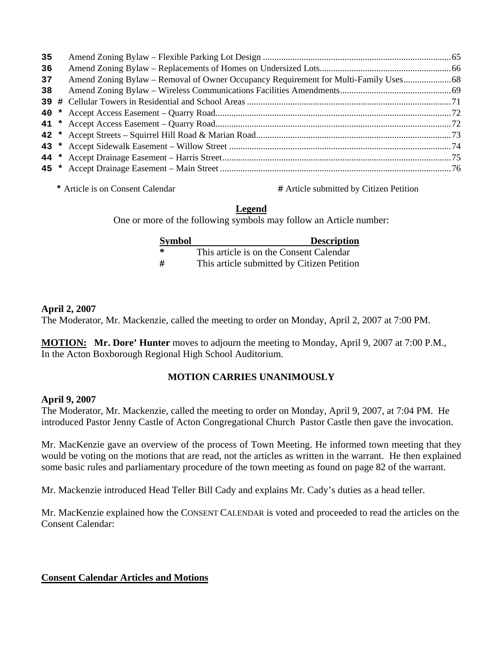| 35 |                                                                                   |  |
|----|-----------------------------------------------------------------------------------|--|
| 36 |                                                                                   |  |
| 37 | Amend Zoning Bylaw – Removal of Owner Occupancy Requirement for Multi-Family Uses |  |
| 38 |                                                                                   |  |
|    |                                                                                   |  |
|    |                                                                                   |  |
|    |                                                                                   |  |
|    |                                                                                   |  |
|    |                                                                                   |  |
|    |                                                                                   |  |
|    |                                                                                   |  |

**\*** Article is on Consent Calendar **#** Article submitted by Citizen Petition

## **Legend**

One or more of the following symbols may follow an Article number:

| <b>Symbol</b> | <b>Description</b>                         |
|---------------|--------------------------------------------|
| - *           | This article is on the Consent Calendar    |
| -#            | This article submitted by Citizen Petition |

## **April 2, 2007**

The Moderator, Mr. Mackenzie, called the meeting to order on Monday, April 2, 2007 at 7:00 PM.

**MOTION: Mr. Dore' Hunter** moves to adjourn the meeting to Monday, April 9, 2007 at 7:00 P.M., In the Acton Boxborough Regional High School Auditorium.

## **MOTION CARRIES UNANIMOUSLY**

## **April 9, 2007**

The Moderator, Mr. Mackenzie, called the meeting to order on Monday, April 9, 2007, at 7:04 PM. He introduced Pastor Jenny Castle of Acton Congregational Church Pastor Castle then gave the invocation.

Mr. MacKenzie gave an overview of the process of Town Meeting. He informed town meeting that they would be voting on the motions that are read, not the articles as written in the warrant. He then explained some basic rules and parliamentary procedure of the town meeting as found on page 82 of the warrant.

Mr. Mackenzie introduced Head Teller Bill Cady and explains Mr. Cady's duties as a head teller.

Mr. MacKenzie explained how the CONSENT CALENDAR is voted and proceeded to read the articles on the Consent Calendar:

## **Consent Calendar Articles and Motions**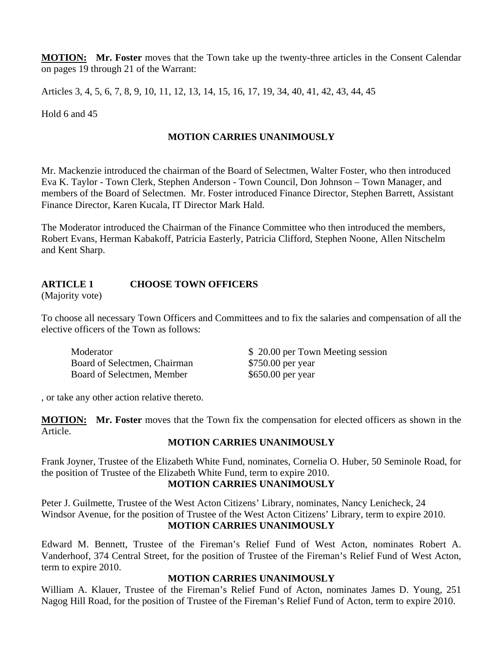**MOTION: Mr. Foster** moves that the Town take up the twenty-three articles in the Consent Calendar on pages 19 through 21 of the Warrant:

Articles 3, 4, 5, 6, 7, 8, 9, 10, 11, 12, 13, 14, 15, 16, 17, 19, 34, 40, 41, 42, 43, 44, 45

Hold 6 and 45

### **MOTION CARRIES UNANIMOUSLY**

Mr. Mackenzie introduced the chairman of the Board of Selectmen, Walter Foster, who then introduced Eva K. Taylor - Town Clerk, Stephen Anderson - Town Council, Don Johnson – Town Manager, and members of the Board of Selectmen. Mr. Foster introduced Finance Director, Stephen Barrett, Assistant Finance Director, Karen Kucala, IT Director Mark Hald.

The Moderator introduced the Chairman of the Finance Committee who then introduced the members, Robert Evans, Herman Kabakoff, Patricia Easterly, Patricia Clifford, Stephen Noone, Allen Nitschelm and Kent Sharp.

## **ARTICLE 1 CHOOSE TOWN OFFICERS**

(Majority vote)

To choose all necessary Town Officers and Committees and to fix the salaries and compensation of all the elective officers of the Town as follows:

Board of Selectmen, Chairman \$750.00 per year Board of Selectmen, Member \$650.00 per year

Moderator  $$ 20.00$  per Town Meeting session

, or take any other action relative thereto.

**MOTION: Mr. Foster** moves that the Town fix the compensation for elected officers as shown in the Article.

## **MOTION CARRIES UNANIMOUSLY**

Frank Joyner, Trustee of the Elizabeth White Fund, nominates, Cornelia O. Huber, 50 Seminole Road, for the position of Trustee of the Elizabeth White Fund, term to expire 2010.

#### **MOTION CARRIES UNANIMOUSLY**

Peter J. Guilmette, Trustee of the West Acton Citizens' Library, nominates, Nancy Lenicheck, 24 Windsor Avenue, for the position of Trustee of the West Acton Citizens' Library, term to expire 2010. **MOTION CARRIES UNANIMOUSLY** 

Edward M. Bennett, Trustee of the Fireman's Relief Fund of West Acton, nominates Robert A. Vanderhoof, 374 Central Street, for the position of Trustee of the Fireman's Relief Fund of West Acton, term to expire 2010.

## **MOTION CARRIES UNANIMOUSLY**

William A. Klauer, Trustee of the Fireman's Relief Fund of Acton, nominates James D. Young, 251 Nagog Hill Road, for the position of Trustee of the Fireman's Relief Fund of Acton, term to expire 2010.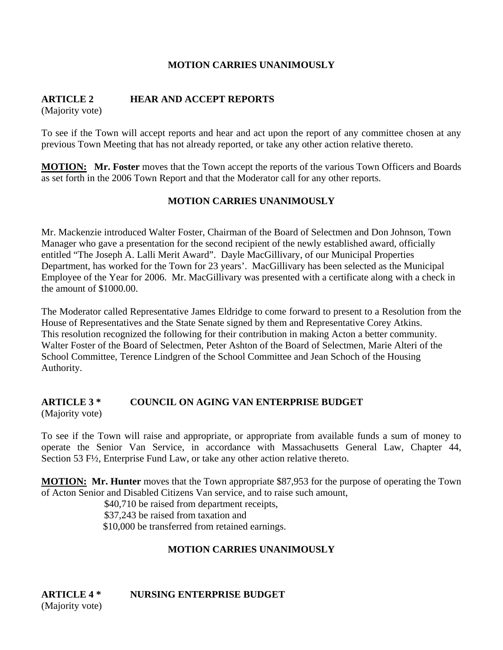#### **MOTION CARRIES UNANIMOUSLY**

## **ARTICLE 2 HEAR AND ACCEPT REPORTS**

(Majority vote)

To see if the Town will accept reports and hear and act upon the report of any committee chosen at any previous Town Meeting that has not already reported, or take any other action relative thereto.

**MOTION: Mr. Foster** moves that the Town accept the reports of the various Town Officers and Boards as set forth in the 2006 Town Report and that the Moderator call for any other reports.

#### **MOTION CARRIES UNANIMOUSLY**

Mr. Mackenzie introduced Walter Foster, Chairman of the Board of Selectmen and Don Johnson, Town Manager who gave a presentation for the second recipient of the newly established award, officially entitled "The Joseph A. Lalli Merit Award". Dayle MacGillivary, of our Municipal Properties Department, has worked for the Town for 23 years'. MacGillivary has been selected as the Municipal Employee of the Year for 2006. Mr. MacGillivary was presented with a certificate along with a check in the amount of \$1000.00.

The Moderator called Representative James Eldridge to come forward to present to a Resolution from the House of Representatives and the State Senate signed by them and Representative Corey Atkins. This resolution recognized the following for their contribution in making Acton a better community. Walter Foster of the Board of Selectmen, Peter Ashton of the Board of Selectmen, Marie Alteri of the School Committee, Terence Lindgren of the School Committee and Jean Schoch of the Housing Authority.

## **ARTICLE 3 \* COUNCIL ON AGING VAN ENTERPRISE BUDGET**

(Majority vote)

To see if the Town will raise and appropriate, or appropriate from available funds a sum of money to operate the Senior Van Service, in accordance with Massachusetts General Law, Chapter 44, Section 53 F½, Enterprise Fund Law, or take any other action relative thereto.

**MOTION: Mr. Hunter** moves that the Town appropriate \$87,953 for the purpose of operating the Town of Acton Senior and Disabled Citizens Van service, and to raise such amount,

> \$40,710 be raised from department receipts, \$37,243 be raised from taxation and \$10,000 be transferred from retained earnings.

## **MOTION CARRIES UNANIMOUSLY**

**ARTICLE 4 \* NURSING ENTERPRISE BUDGET**  (Majority vote)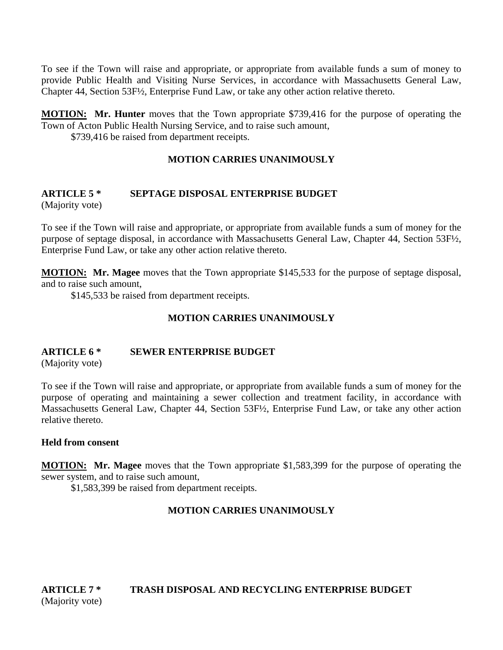To see if the Town will raise and appropriate, or appropriate from available funds a sum of money to provide Public Health and Visiting Nurse Services, in accordance with Massachusetts General Law, Chapter 44, Section 53F½, Enterprise Fund Law, or take any other action relative thereto.

**MOTION: Mr. Hunter** moves that the Town appropriate \$739,416 for the purpose of operating the Town of Acton Public Health Nursing Service, and to raise such amount,

\$739,416 be raised from department receipts.

#### **MOTION CARRIES UNANIMOUSLY**

# **ARTICLE 5 \* SEPTAGE DISPOSAL ENTERPRISE BUDGET**

(Majority vote)

To see if the Town will raise and appropriate, or appropriate from available funds a sum of money for the purpose of septage disposal, in accordance with Massachusetts General Law, Chapter 44, Section 53F½, Enterprise Fund Law, or take any other action relative thereto.

**MOTION: Mr. Magee** moves that the Town appropriate \$145,533 for the purpose of septage disposal, and to raise such amount,

\$145,533 be raised from department receipts.

## **MOTION CARRIES UNANIMOUSLY**

## **ARTICLE 6 \* SEWER ENTERPRISE BUDGET**

(Majority vote)

To see if the Town will raise and appropriate, or appropriate from available funds a sum of money for the purpose of operating and maintaining a sewer collection and treatment facility, in accordance with Massachusetts General Law, Chapter 44, Section 53F½, Enterprise Fund Law, or take any other action relative thereto.

#### **Held from consent**

**MOTION: Mr. Magee** moves that the Town appropriate \$1,583,399 for the purpose of operating the sewer system, and to raise such amount,

\$1,583,399 be raised from department receipts.

## **MOTION CARRIES UNANIMOUSLY**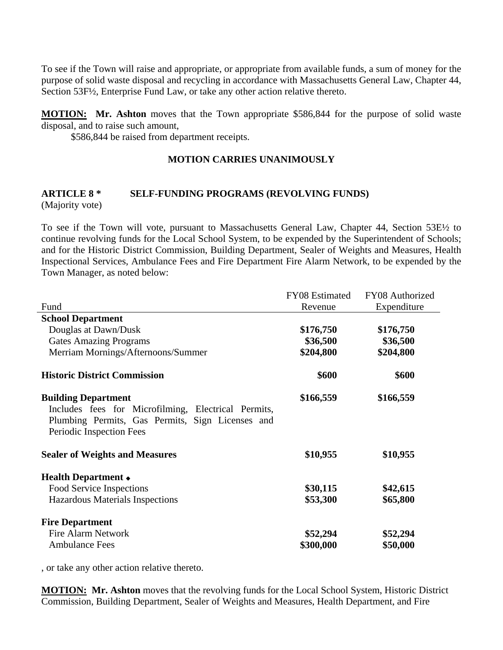To see if the Town will raise and appropriate, or appropriate from available funds, a sum of money for the purpose of solid waste disposal and recycling in accordance with Massachusetts General Law, Chapter 44, Section 53F½, Enterprise Fund Law, or take any other action relative thereto.

**MOTION: Mr. Ashton** moves that the Town appropriate \$586,844 for the purpose of solid waste disposal, and to raise such amount,

\$586,844 be raised from department receipts.

#### **MOTION CARRIES UNANIMOUSLY**

# **ARTICLE 8 \* SELF-FUNDING PROGRAMS (REVOLVING FUNDS)**

(Majority vote)

To see if the Town will vote, pursuant to Massachusetts General Law, Chapter 44, Section 53E½ to continue revolving funds for the Local School System, to be expended by the Superintendent of Schools; and for the Historic District Commission, Building Department, Sealer of Weights and Measures, Health Inspectional Services, Ambulance Fees and Fire Department Fire Alarm Network, to be expended by the Town Manager, as noted below:

|                                                                                                                                     | FY08 Estimated | FY08 Authorized |
|-------------------------------------------------------------------------------------------------------------------------------------|----------------|-----------------|
| Fund                                                                                                                                | Revenue        | Expenditure     |
| <b>School Department</b>                                                                                                            |                |                 |
| Douglas at Dawn/Dusk                                                                                                                | \$176,750      | \$176,750       |
| <b>Gates Amazing Programs</b>                                                                                                       | \$36,500       | \$36,500        |
| Merriam Mornings/Afternoons/Summer                                                                                                  | \$204,800      | \$204,800       |
| <b>Historic District Commission</b>                                                                                                 | \$600          | \$600           |
| <b>Building Department</b>                                                                                                          | \$166,559      | \$166,559       |
| Includes fees for Microfilming, Electrical Permits,<br>Plumbing Permits, Gas Permits, Sign Licenses and<br>Periodic Inspection Fees |                |                 |
| <b>Sealer of Weights and Measures</b>                                                                                               | \$10,955       | \$10,955        |
| Health Department +                                                                                                                 |                |                 |
| Food Service Inspections                                                                                                            | \$30,115       | \$42,615        |
| Hazardous Materials Inspections                                                                                                     | \$53,300       | \$65,800        |
| <b>Fire Department</b>                                                                                                              |                |                 |
| <b>Fire Alarm Network</b>                                                                                                           | \$52,294       | \$52,294        |
| <b>Ambulance Fees</b>                                                                                                               | \$300,000      | \$50,000        |

, or take any other action relative thereto.

**MOTION: Mr. Ashton** moves that the revolving funds for the Local School System, Historic District Commission, Building Department, Sealer of Weights and Measures, Health Department, and Fire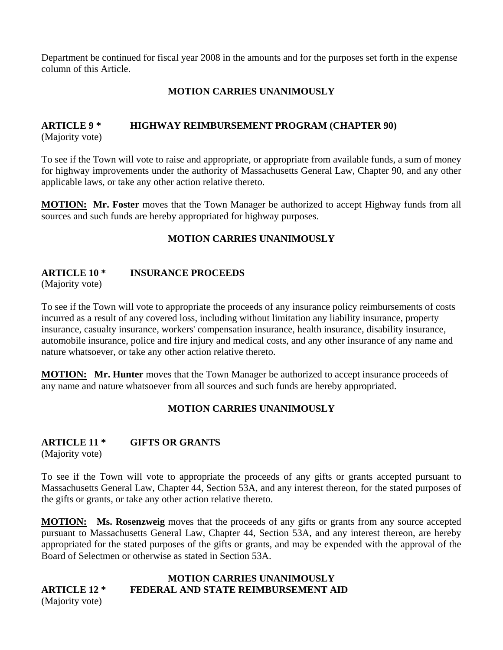Department be continued for fiscal year 2008 in the amounts and for the purposes set forth in the expense column of this Article.

### **MOTION CARRIES UNANIMOUSLY**

# **ARTICLE 9 \* HIGHWAY REIMBURSEMENT PROGRAM (CHAPTER 90)**

(Majority vote)

To see if the Town will vote to raise and appropriate, or appropriate from available funds, a sum of money for highway improvements under the authority of Massachusetts General Law, Chapter 90, and any other applicable laws, or take any other action relative thereto.

**MOTION: Mr. Foster** moves that the Town Manager be authorized to accept Highway funds from all sources and such funds are hereby appropriated for highway purposes.

## **MOTION CARRIES UNANIMOUSLY**

## **ARTICLE 10 \* INSURANCE PROCEEDS**

(Majority vote)

To see if the Town will vote to appropriate the proceeds of any insurance policy reimbursements of costs incurred as a result of any covered loss, including without limitation any liability insurance, property insurance, casualty insurance, workers' compensation insurance, health insurance, disability insurance, automobile insurance, police and fire injury and medical costs, and any other insurance of any name and nature whatsoever, or take any other action relative thereto.

**MOTION:** Mr. Hunter moves that the Town Manager be authorized to accept insurance proceeds of any name and nature whatsoever from all sources and such funds are hereby appropriated.

## **MOTION CARRIES UNANIMOUSLY**

## **ARTICLE 11 \* GIFTS OR GRANTS**

(Majority vote)

To see if the Town will vote to appropriate the proceeds of any gifts or grants accepted pursuant to Massachusetts General Law, Chapter 44, Section 53A, and any interest thereon, for the stated purposes of the gifts or grants, or take any other action relative thereto.

**MOTION: Ms. Rosenzweig** moves that the proceeds of any gifts or grants from any source accepted pursuant to Massachusetts General Law, Chapter 44, Section 53A, and any interest thereon, are hereby appropriated for the stated purposes of the gifts or grants, and may be expended with the approval of the Board of Selectmen or otherwise as stated in Section 53A.

# **MOTION CARRIES UNANIMOUSLY ARTICLE 12 \* FEDERAL AND STATE REIMBURSEMENT AID**

(Majority vote)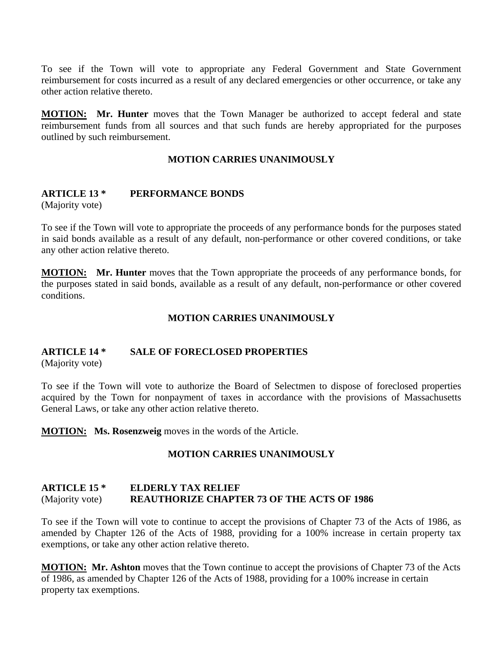To see if the Town will vote to appropriate any Federal Government and State Government reimbursement for costs incurred as a result of any declared emergencies or other occurrence, or take any other action relative thereto.

**MOTION: Mr. Hunter** moves that the Town Manager be authorized to accept federal and state reimbursement funds from all sources and that such funds are hereby appropriated for the purposes outlined by such reimbursement.

#### **MOTION CARRIES UNANIMOUSLY**

## **ARTICLE 13 \* PERFORMANCE BONDS**

(Majority vote)

To see if the Town will vote to appropriate the proceeds of any performance bonds for the purposes stated in said bonds available as a result of any default, non-performance or other covered conditions, or take any other action relative thereto.

**MOTION: Mr. Hunter** moves that the Town appropriate the proceeds of any performance bonds, for the purposes stated in said bonds, available as a result of any default, non-performance or other covered conditions.

#### **MOTION CARRIES UNANIMOUSLY**

## **ARTICLE 14 \* SALE OF FORECLOSED PROPERTIES**

(Majority vote)

To see if the Town will vote to authorize the Board of Selectmen to dispose of foreclosed properties acquired by the Town for nonpayment of taxes in accordance with the provisions of Massachusetts General Laws, or take any other action relative thereto.

**MOTION: Ms. Rosenzweig** moves in the words of the Article.

#### **MOTION CARRIES UNANIMOUSLY**

#### **ARTICLE 15 \* ELDERLY TAX RELIEF**  (Majority vote) **REAUTHORIZE CHAPTER 73 OF THE ACTS OF 1986**

To see if the Town will vote to continue to accept the provisions of Chapter 73 of the Acts of 1986, as amended by Chapter 126 of the Acts of 1988, providing for a 100% increase in certain property tax exemptions, or take any other action relative thereto.

**MOTION: Mr. Ashton** moves that the Town continue to accept the provisions of Chapter 73 of the Acts of 1986, as amended by Chapter 126 of the Acts of 1988, providing for a 100% increase in certain property tax exemptions.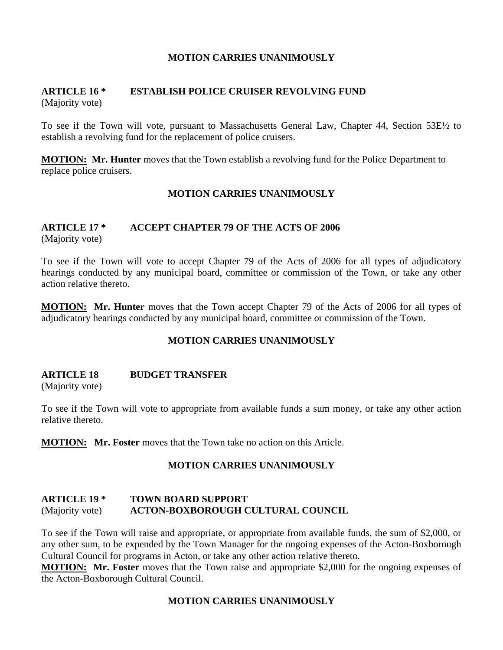#### **MOTION CARRIES UNANIMOUSLY**

#### **ARTICLE 16 \* ESTABLISH POLICE CRUISER REVOLVING FUND** (Majority vote)

To see if the Town will vote, pursuant to Massachusetts General Law, Chapter 44, Section 53E½ to establish a revolving fund for the replacement of police cruisers.

**MOTION: Mr. Hunter** moves that the Town establish a revolving fund for the Police Department to replace police cruisers.

#### **MOTION CARRIES UNANIMOUSLY**

# **ARTICLE 17 \* ACCEPT CHAPTER 79 OF THE ACTS OF 2006**

(Majority vote)

To see if the Town will vote to accept Chapter 79 of the Acts of 2006 for all types of adjudicatory hearings conducted by any municipal board, committee or commission of the Town, or take any other action relative thereto.

**MOTION: Mr. Hunter** moves that the Town accept Chapter 79 of the Acts of 2006 for all types of adjudicatory hearings conducted by any municipal board, committee or commission of the Town.

## **MOTION CARRIES UNANIMOUSLY**

#### **ARTICLE 18 BUDGET TRANSFER**

(Majority vote)

To see if the Town will vote to appropriate from available funds a sum money, or take any other action relative thereto.

**MOTION: Mr. Foster** moves that the Town take no action on this Article.

## **MOTION CARRIES UNANIMOUSLY**

## **ARTICLE 19 \* TOWN BOARD SUPPORT**  (Majority vote) **ACTON-BOXBOROUGH CULTURAL COUNCIL**

To see if the Town will raise and appropriate, or appropriate from available funds, the sum of \$2,000, or any other sum, to be expended by the Town Manager for the ongoing expenses of the Acton-Boxborough Cultural Council for programs in Acton, or take any other action relative thereto.

**MOTION: Mr. Foster** moves that the Town raise and appropriate \$2,000 for the ongoing expenses of the Acton-Boxborough Cultural Council.

#### **MOTION CARRIES UNANIMOUSLY**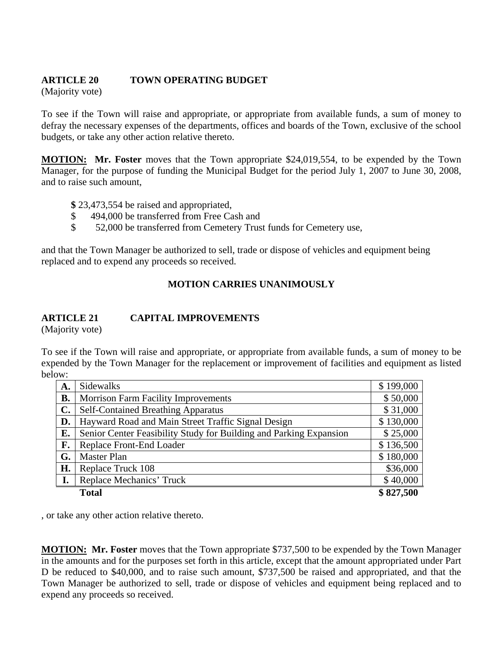## **ARTICLE 20 TOWN OPERATING BUDGET**

(Majority vote)

To see if the Town will raise and appropriate, or appropriate from available funds, a sum of money to defray the necessary expenses of the departments, offices and boards of the Town, exclusive of the school budgets, or take any other action relative thereto.

**MOTION: Mr. Foster** moves that the Town appropriate \$24,019,554, to be expended by the Town Manager, for the purpose of funding the Municipal Budget for the period July 1, 2007 to June 30, 2008, and to raise such amount,

**\$** 23,473,554 be raised and appropriated,

- \$494,000 be transferred from Free Cash and
- \$ 52,000 be transferred from Cemetery Trust funds for Cemetery use,

and that the Town Manager be authorized to sell, trade or dispose of vehicles and equipment being replaced and to expend any proceeds so received.

## **MOTION CARRIES UNANIMOUSLY**

## **ARTICLE 21 CAPITAL IMPROVEMENTS**

(Majority vote)

To see if the Town will raise and appropriate, or appropriate from available funds, a sum of money to be expended by the Town Manager for the replacement or improvement of facilities and equipment as listed below:

| А.             | Sidewalks                                                          | \$199,000 |
|----------------|--------------------------------------------------------------------|-----------|
| <b>B.</b>      | <b>Morrison Farm Facility Improvements</b>                         | \$50,000  |
| $\mathbf{C}$ . | <b>Self-Contained Breathing Apparatus</b>                          | \$31,000  |
| D.             | Hayward Road and Main Street Traffic Signal Design                 | \$130,000 |
| E.             | Senior Center Feasibility Study for Building and Parking Expansion | \$25,000  |
| F.             | Replace Front-End Loader                                           | \$136,500 |
| G.             | <b>Master Plan</b>                                                 | \$180,000 |
| H.             | Replace Truck 108                                                  | \$36,000  |
| I.             | Replace Mechanics' Truck                                           | \$40,000  |
|                | <b>Total</b>                                                       | \$827,500 |

, or take any other action relative thereto.

**MOTION: Mr. Foster** moves that the Town appropriate \$737,500 to be expended by the Town Manager in the amounts and for the purposes set forth in this article, except that the amount appropriated under Part D be reduced to \$40,000, and to raise such amount, \$737,500 be raised and appropriated, and that the Town Manager be authorized to sell, trade or dispose of vehicles and equipment being replaced and to expend any proceeds so received.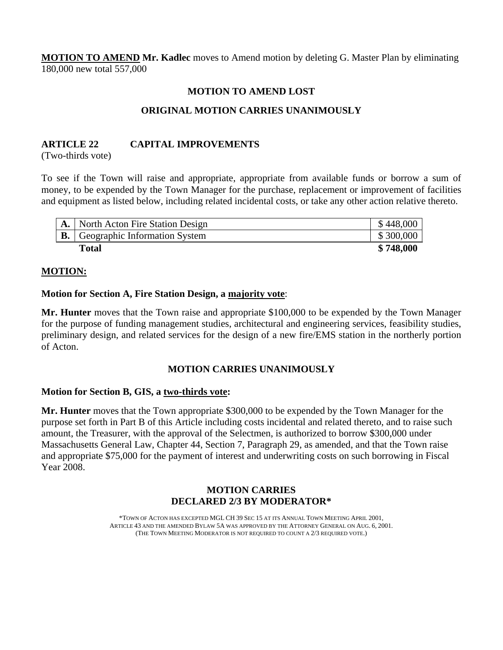**MOTION TO AMEND Mr. Kadlec** moves to Amend motion by deleting G. Master Plan by eliminating 180,000 new total 557,000

#### **MOTION TO AMEND LOST**

### **ORIGINAL MOTION CARRIES UNANIMOUSLY**

#### **ARTICLE 22 CAPITAL IMPROVEMENTS**

(Two-thirds vote)

To see if the Town will raise and appropriate, appropriate from available funds or borrow a sum of money, to be expended by the Town Manager for the purchase, replacement or improvement of facilities and equipment as listed below, including related incidental costs, or take any other action relative thereto.

|    | North Acton Fire Station Design | \$448,000 |
|----|---------------------------------|-----------|
| В. | Geographic Information System   | \$300,000 |
|    | <b>Total</b>                    | \$748,000 |

#### **MOTION:**

#### **Motion for Section A, Fire Station Design, a majority vote**:

**Mr. Hunter** moves that the Town raise and appropriate \$100,000 to be expended by the Town Manager for the purpose of funding management studies, architectural and engineering services, feasibility studies, preliminary design, and related services for the design of a new fire/EMS station in the northerly portion of Acton.

#### **MOTION CARRIES UNANIMOUSLY**

#### **Motion for Section B, GIS, a two-thirds vote:**

**Mr. Hunter** moves that the Town appropriate \$300,000 to be expended by the Town Manager for the purpose set forth in Part B of this Article including costs incidental and related thereto, and to raise such amount, the Treasurer, with the approval of the Selectmen, is authorized to borrow \$300,000 under Massachusetts General Law, Chapter 44, Section 7, Paragraph 29, as amended, and that the Town raise and appropriate \$75,000 for the payment of interest and underwriting costs on such borrowing in Fiscal Year 2008.

#### **MOTION CARRIES DECLARED 2/3 BY MODERATOR\***

\*TOWN OF ACTON HAS EXCEPTED MGL CH 39 SEC 15 AT ITS ANNUAL TOWN MEETING APRIL 2001, ARTICLE 43 AND THE AMENDED BYLAW 5A WAS APPROVED BY THE ATTORNEY GENERAL ON AUG. 6, 2001. (THE TOWN MEETING MODERATOR IS NOT REQUIRED TO COUNT A 2/3 REQUIRED VOTE.)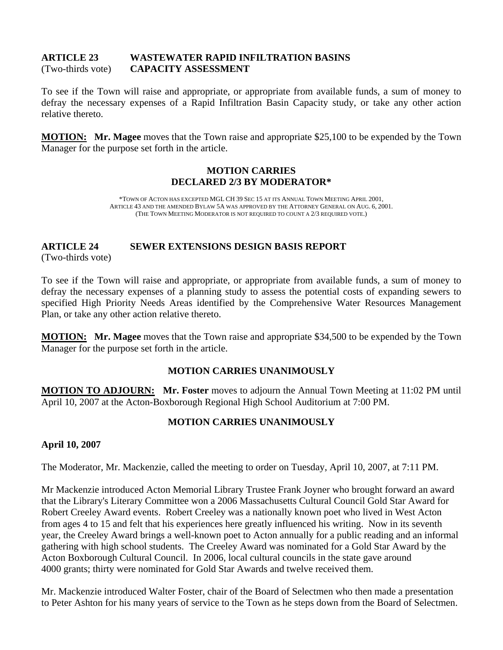#### **ARTICLE 23 WASTEWATER RAPID INFILTRATION BASINS**  (Two-thirds vote) **CAPACITY ASSESSMENT**

To see if the Town will raise and appropriate, or appropriate from available funds, a sum of money to defray the necessary expenses of a Rapid Infiltration Basin Capacity study, or take any other action relative thereto.

**MOTION: Mr. Magee** moves that the Town raise and appropriate \$25,100 to be expended by the Town Manager for the purpose set forth in the article.

#### **MOTION CARRIES DECLARED 2/3 BY MODERATOR\***

\*TOWN OF ACTON HAS EXCEPTED MGL CH 39 SEC 15 AT ITS ANNUAL TOWN MEETING APRIL 2001, ARTICLE 43 AND THE AMENDED BYLAW 5A WAS APPROVED BY THE ATTORNEY GENERAL ON AUG. 6, 2001. (THE TOWN MEETING MODERATOR IS NOT REQUIRED TO COUNT A 2/3 REQUIRED VOTE.)

## **ARTICLE 24 SEWER EXTENSIONS DESIGN BASIS REPORT**

(Two-thirds vote)

To see if the Town will raise and appropriate, or appropriate from available funds, a sum of money to defray the necessary expenses of a planning study to assess the potential costs of expanding sewers to specified High Priority Needs Areas identified by the Comprehensive Water Resources Management Plan, or take any other action relative thereto.

**MOTION: Mr. Magee** moves that the Town raise and appropriate \$34,500 to be expended by the Town Manager for the purpose set forth in the article.

## **MOTION CARRIES UNANIMOUSLY**

**MOTION TO ADJOURN: Mr. Foster** moves to adjourn the Annual Town Meeting at 11:02 PM until April 10, 2007 at the Acton-Boxborough Regional High School Auditorium at 7:00 PM.

## **MOTION CARRIES UNANIMOUSLY**

#### **April 10, 2007**

The Moderator, Mr. Mackenzie, called the meeting to order on Tuesday, April 10, 2007, at 7:11 PM.

Mr Mackenzie introduced Acton Memorial Library Trustee Frank Joyner who brought forward an award that the Library's Literary Committee won a 2006 Massachusetts Cultural Council Gold Star Award for Robert Creeley Award events. Robert Creeley was a nationally known poet who lived in West Acton from ages 4 to 15 and felt that his experiences here greatly influenced his writing. Now in its seventh year, the Creeley Award brings a well-known poet to Acton annually for a public reading and an informal gathering with high school students. The Creeley Award was nominated for a Gold Star Award by the Acton Boxborough Cultural Council. In 2006, local cultural councils in the state gave around 4000 grants; thirty were nominated for Gold Star Awards and twelve received them.

Mr. Mackenzie introduced Walter Foster, chair of the Board of Selectmen who then made a presentation to Peter Ashton for his many years of service to the Town as he steps down from the Board of Selectmen.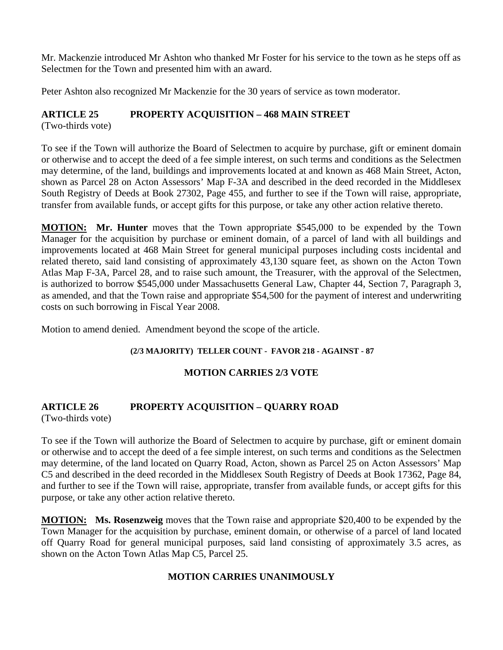Mr. Mackenzie introduced Mr Ashton who thanked Mr Foster for his service to the town as he steps off as Selectmen for the Town and presented him with an award.

Peter Ashton also recognized Mr Mackenzie for the 30 years of service as town moderator.

## **ARTICLE 25 PROPERTY ACQUISITION – 468 MAIN STREET**

(Two-thirds vote)

To see if the Town will authorize the Board of Selectmen to acquire by purchase, gift or eminent domain or otherwise and to accept the deed of a fee simple interest, on such terms and conditions as the Selectmen may determine, of the land, buildings and improvements located at and known as 468 Main Street, Acton, shown as Parcel 28 on Acton Assessors' Map F-3A and described in the deed recorded in the Middlesex South Registry of Deeds at Book 27302, Page 455, and further to see if the Town will raise, appropriate, transfer from available funds, or accept gifts for this purpose, or take any other action relative thereto.

**MOTION: Mr. Hunter** moves that the Town appropriate \$545,000 to be expended by the Town Manager for the acquisition by purchase or eminent domain, of a parcel of land with all buildings and improvements located at 468 Main Street for general municipal purposes including costs incidental and related thereto, said land consisting of approximately 43,130 square feet, as shown on the Acton Town Atlas Map F-3A, Parcel 28, and to raise such amount, the Treasurer, with the approval of the Selectmen, is authorized to borrow \$545,000 under Massachusetts General Law, Chapter 44, Section 7, Paragraph 3, as amended, and that the Town raise and appropriate \$54,500 for the payment of interest and underwriting costs on such borrowing in Fiscal Year 2008.

Motion to amend denied. Amendment beyond the scope of the article.

## **(2/3 MAJORITY) TELLER COUNT - FAVOR 218 - AGAINST - 87**

## **MOTION CARRIES 2/3 VOTE**

## **ARTICLE 26 PROPERTY ACQUISITION – QUARRY ROAD**

(Two-thirds vote)

To see if the Town will authorize the Board of Selectmen to acquire by purchase, gift or eminent domain or otherwise and to accept the deed of a fee simple interest, on such terms and conditions as the Selectmen may determine, of the land located on Quarry Road, Acton, shown as Parcel 25 on Acton Assessors' Map C5 and described in the deed recorded in the Middlesex South Registry of Deeds at Book 17362, Page 84, and further to see if the Town will raise, appropriate, transfer from available funds, or accept gifts for this purpose, or take any other action relative thereto.

**MOTION: Ms. Rosenzweig** moves that the Town raise and appropriate \$20,400 to be expended by the Town Manager for the acquisition by purchase, eminent domain, or otherwise of a parcel of land located off Quarry Road for general municipal purposes, said land consisting of approximately 3.5 acres, as shown on the Acton Town Atlas Map C5, Parcel 25.

## **MOTION CARRIES UNANIMOUSLY**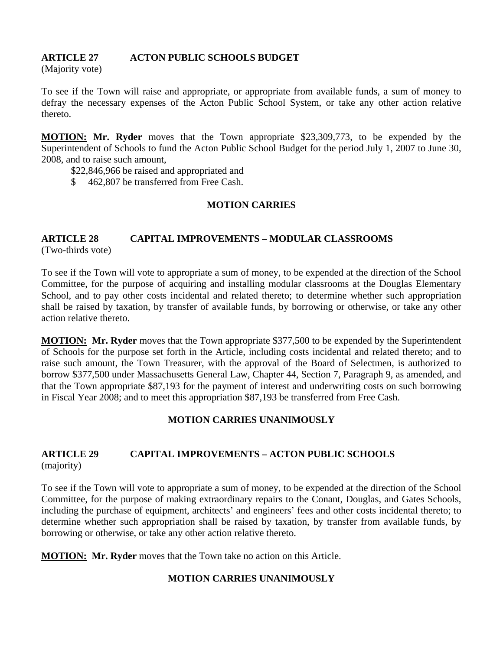## **ARTICLE 27 ACTON PUBLIC SCHOOLS BUDGET**

(Majority vote)

To see if the Town will raise and appropriate, or appropriate from available funds, a sum of money to defray the necessary expenses of the Acton Public School System, or take any other action relative thereto.

**MOTION: Mr. Ryder** moves that the Town appropriate \$23,309,773, to be expended by the Superintendent of Schools to fund the Acton Public School Budget for the period July 1, 2007 to June 30, 2008, and to raise such amount,

- \$22,846,966 be raised and appropriated and
- \$ 462,807 be transferred from Free Cash.

## **MOTION CARRIES**

# **ARTICLE 28 CAPITAL IMPROVEMENTS – MODULAR CLASSROOMS**

(Two-thirds vote)

To see if the Town will vote to appropriate a sum of money, to be expended at the direction of the School Committee, for the purpose of acquiring and installing modular classrooms at the Douglas Elementary School, and to pay other costs incidental and related thereto; to determine whether such appropriation shall be raised by taxation, by transfer of available funds, by borrowing or otherwise, or take any other action relative thereto.

**MOTION: Mr. Ryder** moves that the Town appropriate \$377,500 to be expended by the Superintendent of Schools for the purpose set forth in the Article, including costs incidental and related thereto; and to raise such amount, the Town Treasurer, with the approval of the Board of Selectmen, is authorized to borrow \$377,500 under Massachusetts General Law, Chapter 44, Section 7, Paragraph 9, as amended, and that the Town appropriate \$87,193 for the payment of interest and underwriting costs on such borrowing in Fiscal Year 2008; and to meet this appropriation \$87,193 be transferred from Free Cash.

## **MOTION CARRIES UNANIMOUSLY**

## **ARTICLE 29 CAPITAL IMPROVEMENTS – ACTON PUBLIC SCHOOLS**  (majority)

To see if the Town will vote to appropriate a sum of money, to be expended at the direction of the School Committee, for the purpose of making extraordinary repairs to the Conant, Douglas, and Gates Schools, including the purchase of equipment, architects' and engineers' fees and other costs incidental thereto; to determine whether such appropriation shall be raised by taxation, by transfer from available funds, by borrowing or otherwise, or take any other action relative thereto.

**MOTION: Mr. Ryder** moves that the Town take no action on this Article.

## **MOTION CARRIES UNANIMOUSLY**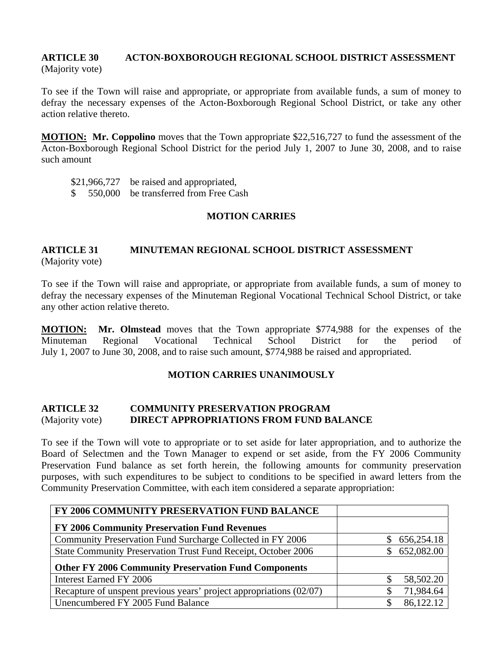#### **ARTICLE 30 ACTON-BOXBOROUGH REGIONAL SCHOOL DISTRICT ASSESSMENT**  (Majority vote)

To see if the Town will raise and appropriate, or appropriate from available funds, a sum of money to defray the necessary expenses of the Acton-Boxborough Regional School District, or take any other action relative thereto.

**MOTION: Mr. Coppolino** moves that the Town appropriate \$22,516,727 to fund the assessment of the Acton-Boxborough Regional School District for the period July 1, 2007 to June 30, 2008, and to raise such amount

\$21,966,727 be raised and appropriated,

\$ 550,000 be transferred from Free Cash

#### **MOTION CARRIES**

#### **ARTICLE 31 MINUTEMAN REGIONAL SCHOOL DISTRICT ASSESSMENT**  (Majority vote)

To see if the Town will raise and appropriate, or appropriate from available funds, a sum of money to defray the necessary expenses of the Minuteman Regional Vocational Technical School District, or take any other action relative thereto.

**MOTION: Mr. Olmstead** moves that the Town appropriate \$774,988 for the expenses of the Minuteman Regional Vocational Technical School District for the period of July 1, 2007 to June 30, 2008, and to raise such amount, \$774,988 be raised and appropriated.

## **MOTION CARRIES UNANIMOUSLY**

#### **ARTICLE 32 COMMUNITY PRESERVATION PROGRAM**  (Majority vote) **DIRECT APPROPRIATIONS FROM FUND BALANCE**

To see if the Town will vote to appropriate or to set aside for later appropriation, and to authorize the Board of Selectmen and the Town Manager to expend or set aside, from the FY 2006 Community Preservation Fund balance as set forth herein, the following amounts for community preservation purposes, with such expenditures to be subject to conditions to be specified in award letters from the Community Preservation Committee, with each item considered a separate appropriation:

| FY 2006 COMMUNITY PRESERVATION FUND BALANCE                         |                  |
|---------------------------------------------------------------------|------------------|
| FY 2006 Community Preservation Fund Revenues                        |                  |
| Community Preservation Fund Surcharge Collected in FY 2006          | 656,254.18<br>S. |
| State Community Preservation Trust Fund Receipt, October 2006       | 652,082.00<br>S. |
| <b>Other FY 2006 Community Preservation Fund Components</b>         |                  |
| Interest Earned FY 2006                                             | 58,502.20        |
| Recapture of unspent previous years' project appropriations (02/07) | 71,984.64        |
| Unencumbered FY 2005 Fund Balance                                   | 86,122.12        |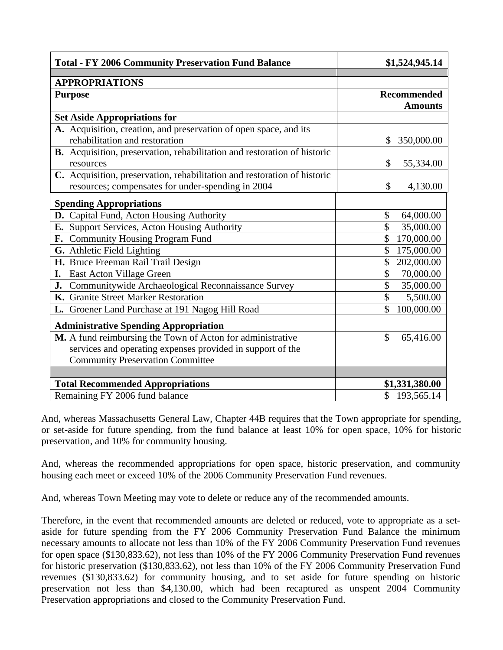| <b>Total - FY 2006 Community Preservation Fund Balance</b>               | \$1,524,945.14                        |
|--------------------------------------------------------------------------|---------------------------------------|
|                                                                          |                                       |
| <b>APPROPRIATIONS</b>                                                    |                                       |
| <b>Purpose</b>                                                           | <b>Recommended</b>                    |
|                                                                          | <b>Amounts</b>                        |
| <b>Set Aside Appropriations for</b>                                      |                                       |
| A. Acquisition, creation, and preservation of open space, and its        |                                       |
| rehabilitation and restoration                                           | 350,000.00<br>\$                      |
| B. Acquisition, preservation, rehabilitation and restoration of historic |                                       |
| resources                                                                | 55,334.00<br>\$                       |
| C. Acquisition, preservation, rehabilitation and restoration of historic |                                       |
| resources; compensates for under-spending in 2004                        | \$<br>4,130.00                        |
| <b>Spending Appropriations</b>                                           |                                       |
| D. Capital Fund, Acton Housing Authority                                 | \$<br>64,000.00                       |
| E. Support Services, Acton Housing Authority                             | 35,000.00                             |
| F. Community Housing Program Fund                                        | \$<br>170,000.00                      |
| G. Athletic Field Lighting                                               | $\mathcal{S}$<br>175,000.00           |
| H. Bruce Freeman Rail Trail Design                                       | \$<br>202,000.00                      |
| I. East Acton Village Green                                              | \$<br>70,000.00                       |
| J. Communitywide Archaeological Reconnaissance Survey                    | \$<br>35,000.00                       |
| K. Granite Street Marker Restoration                                     | $\boldsymbol{\mathsf{S}}$<br>5,500.00 |
| L. Groener Land Purchase at 191 Nagog Hill Road                          | \$<br>100,000.00                      |
| <b>Administrative Spending Appropriation</b>                             |                                       |
| M. A fund reimbursing the Town of Acton for administrative               | $\mathcal{S}$<br>65,416.00            |
| services and operating expenses provided in support of the               |                                       |
| <b>Community Preservation Committee</b>                                  |                                       |
|                                                                          |                                       |
| <b>Total Recommended Appropriations</b>                                  | \$1,331,380.00                        |
| Remaining FY 2006 fund balance                                           | \$193,565.14                          |

And, whereas Massachusetts General Law, Chapter 44B requires that the Town appropriate for spending, or set-aside for future spending, from the fund balance at least 10% for open space, 10% for historic preservation, and 10% for community housing.

And, whereas the recommended appropriations for open space, historic preservation, and community housing each meet or exceed 10% of the 2006 Community Preservation Fund revenues.

And, whereas Town Meeting may vote to delete or reduce any of the recommended amounts.

Therefore, in the event that recommended amounts are deleted or reduced, vote to appropriate as a setaside for future spending from the FY 2006 Community Preservation Fund Balance the minimum necessary amounts to allocate not less than 10% of the FY 2006 Community Preservation Fund revenues for open space (\$130,833.62), not less than 10% of the FY 2006 Community Preservation Fund revenues for historic preservation (\$130,833.62), not less than 10% of the FY 2006 Community Preservation Fund revenues (\$130,833.62) for community housing, and to set aside for future spending on historic preservation not less than \$4,130.00, which had been recaptured as unspent 2004 Community Preservation appropriations and closed to the Community Preservation Fund.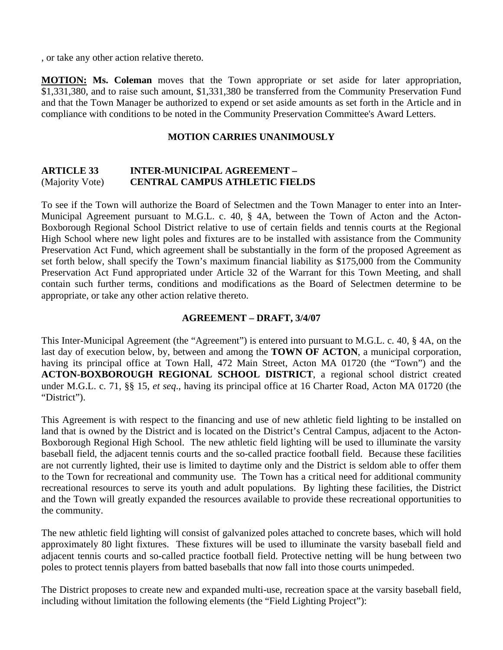, or take any other action relative thereto.

**MOTION: Ms. Coleman** moves that the Town appropriate or set aside for later appropriation, \$1,331,380, and to raise such amount, \$1,331,380 be transferred from the Community Preservation Fund and that the Town Manager be authorized to expend or set aside amounts as set forth in the Article and in compliance with conditions to be noted in the Community Preservation Committee's Award Letters.

#### **MOTION CARRIES UNANIMOUSLY**

#### **ARTICLE 33 INTER-MUNICIPAL AGREEMENT –**  (Majority Vote) **CENTRAL CAMPUS ATHLETIC FIELDS**

To see if the Town will authorize the Board of Selectmen and the Town Manager to enter into an Inter-Municipal Agreement pursuant to M.G.L. c. 40, § 4A, between the Town of Acton and the Acton-Boxborough Regional School District relative to use of certain fields and tennis courts at the Regional High School where new light poles and fixtures are to be installed with assistance from the Community Preservation Act Fund, which agreement shall be substantially in the form of the proposed Agreement as set forth below, shall specify the Town's maximum financial liability as \$175,000 from the Community Preservation Act Fund appropriated under Article 32 of the Warrant for this Town Meeting, and shall contain such further terms, conditions and modifications as the Board of Selectmen determine to be appropriate, or take any other action relative thereto.

#### **AGREEMENT – DRAFT, 3/4/07**

This Inter-Municipal Agreement (the "Agreement") is entered into pursuant to M.G.L. c. 40, § 4A, on the last day of execution below, by, between and among the **TOWN OF ACTON**, a municipal corporation, having its principal office at Town Hall, 472 Main Street, Acton MA 01720 (the "Town") and the **ACTON-BOXBOROUGH REGIONAL SCHOOL DISTRICT**, a regional school district created under M.G.L. c. 71, §§ 15, *et seq*., having its principal office at 16 Charter Road, Acton MA 01720 (the "District").

This Agreement is with respect to the financing and use of new athletic field lighting to be installed on land that is owned by the District and is located on the District's Central Campus, adjacent to the Acton-Boxborough Regional High School. The new athletic field lighting will be used to illuminate the varsity baseball field, the adjacent tennis courts and the so-called practice football field. Because these facilities are not currently lighted, their use is limited to daytime only and the District is seldom able to offer them to the Town for recreational and community use. The Town has a critical need for additional community recreational resources to serve its youth and adult populations. By lighting these facilities, the District and the Town will greatly expanded the resources available to provide these recreational opportunities to the community.

The new athletic field lighting will consist of galvanized poles attached to concrete bases, which will hold approximately 80 light fixtures. These fixtures will be used to illuminate the varsity baseball field and adjacent tennis courts and so-called practice football field. Protective netting will be hung between two poles to protect tennis players from batted baseballs that now fall into those courts unimpeded.

The District proposes to create new and expanded multi-use, recreation space at the varsity baseball field, including without limitation the following elements (the "Field Lighting Project"):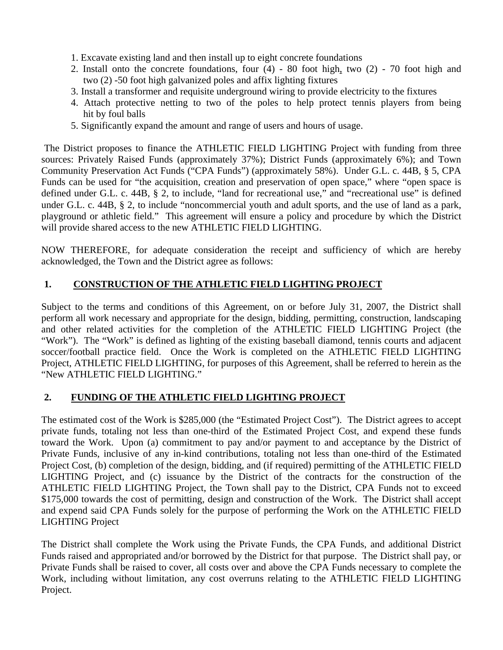- 1. Excavate existing land and then install up to eight concrete foundations
- 2. Install onto the concrete foundations, four (4) 80 foot high, two (2) 70 foot high and two (2) -50 foot high galvanized poles and affix lighting fixtures
- 3. Install a transformer and requisite underground wiring to provide electricity to the fixtures
- 4. Attach protective netting to two of the poles to help protect tennis players from being hit by foul balls
- 5. Significantly expand the amount and range of users and hours of usage.

The District proposes to finance the ATHLETIC FIELD LIGHTING Project with funding from three sources: Privately Raised Funds (approximately 37%); District Funds (approximately 6%); and Town Community Preservation Act Funds ("CPA Funds") (approximately 58%). Under G.L. c. 44B, § 5, CPA Funds can be used for "the acquisition, creation and preservation of open space," where "open space is defined under G.L. c. 44B, § 2, to include, "land for recreational use," and "recreational use" is defined under G.L. c. 44B, § 2, to include "noncommercial youth and adult sports, and the use of land as a park, playground or athletic field." This agreement will ensure a policy and procedure by which the District will provide shared access to the new ATHLETIC FIELD LIGHTING.

NOW THEREFORE, for adequate consideration the receipt and sufficiency of which are hereby acknowledged, the Town and the District agree as follows:

## **1. CONSTRUCTION OF THE ATHLETIC FIELD LIGHTING PROJECT**

Subject to the terms and conditions of this Agreement, on or before July 31, 2007, the District shall perform all work necessary and appropriate for the design, bidding, permitting, construction, landscaping and other related activities for the completion of the ATHLETIC FIELD LIGHTING Project (the "Work"). The "Work" is defined as lighting of the existing baseball diamond, tennis courts and adjacent soccer/football practice field. Once the Work is completed on the ATHLETIC FIELD LIGHTING Project, ATHLETIC FIELD LIGHTING, for purposes of this Agreement, shall be referred to herein as the "New ATHLETIC FIELD LIGHTING."

## **2. FUNDING OF THE ATHLETIC FIELD LIGHTING PROJECT**

The estimated cost of the Work is \$285,000 (the "Estimated Project Cost"). The District agrees to accept private funds, totaling not less than one-third of the Estimated Project Cost, and expend these funds toward the Work. Upon (a) commitment to pay and/or payment to and acceptance by the District of Private Funds, inclusive of any in-kind contributions, totaling not less than one-third of the Estimated Project Cost, (b) completion of the design, bidding, and (if required) permitting of the ATHLETIC FIELD LIGHTING Project, and (c) issuance by the District of the contracts for the construction of the ATHLETIC FIELD LIGHTING Project, the Town shall pay to the District, CPA Funds not to exceed \$175,000 towards the cost of permitting, design and construction of the Work. The District shall accept and expend said CPA Funds solely for the purpose of performing the Work on the ATHLETIC FIELD LIGHTING Project

The District shall complete the Work using the Private Funds, the CPA Funds, and additional District Funds raised and appropriated and/or borrowed by the District for that purpose. The District shall pay, or Private Funds shall be raised to cover, all costs over and above the CPA Funds necessary to complete the Work, including without limitation, any cost overruns relating to the ATHLETIC FIELD LIGHTING Project.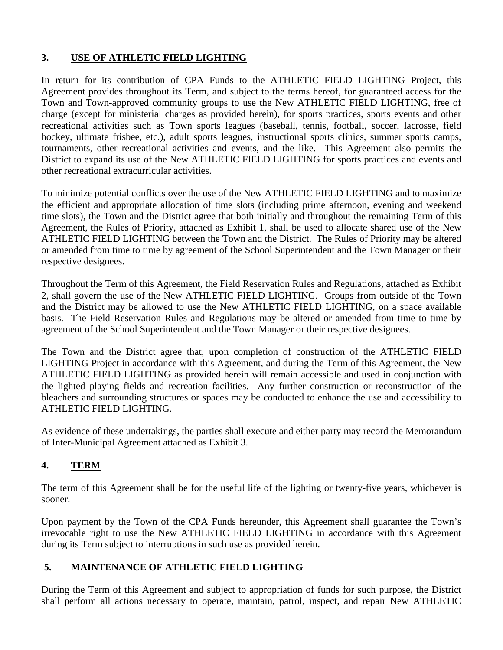## **3. USE OF ATHLETIC FIELD LIGHTING**

In return for its contribution of CPA Funds to the ATHLETIC FIELD LIGHTING Project, this Agreement provides throughout its Term, and subject to the terms hereof, for guaranteed access for the Town and Town-approved community groups to use the New ATHLETIC FIELD LIGHTING, free of charge (except for ministerial charges as provided herein), for sports practices, sports events and other recreational activities such as Town sports leagues (baseball, tennis, football, soccer, lacrosse, field hockey, ultimate frisbee, etc.), adult sports leagues, instructional sports clinics, summer sports camps, tournaments, other recreational activities and events, and the like. This Agreement also permits the District to expand its use of the New ATHLETIC FIELD LIGHTING for sports practices and events and other recreational extracurricular activities.

To minimize potential conflicts over the use of the New ATHLETIC FIELD LIGHTING and to maximize the efficient and appropriate allocation of time slots (including prime afternoon, evening and weekend time slots), the Town and the District agree that both initially and throughout the remaining Term of this Agreement, the Rules of Priority, attached as Exhibit 1, shall be used to allocate shared use of the New ATHLETIC FIELD LIGHTING between the Town and the District. The Rules of Priority may be altered or amended from time to time by agreement of the School Superintendent and the Town Manager or their respective designees.

Throughout the Term of this Agreement, the Field Reservation Rules and Regulations, attached as Exhibit 2, shall govern the use of the New ATHLETIC FIELD LIGHTING. Groups from outside of the Town and the District may be allowed to use the New ATHLETIC FIELD LIGHTING, on a space available basis. The Field Reservation Rules and Regulations may be altered or amended from time to time by agreement of the School Superintendent and the Town Manager or their respective designees.

The Town and the District agree that, upon completion of construction of the ATHLETIC FIELD LIGHTING Project in accordance with this Agreement, and during the Term of this Agreement, the New ATHLETIC FIELD LIGHTING as provided herein will remain accessible and used in conjunction with the lighted playing fields and recreation facilities. Any further construction or reconstruction of the bleachers and surrounding structures or spaces may be conducted to enhance the use and accessibility to ATHLETIC FIELD LIGHTING.

As evidence of these undertakings, the parties shall execute and either party may record the Memorandum of Inter-Municipal Agreement attached as Exhibit 3.

## **4. TERM**

The term of this Agreement shall be for the useful life of the lighting or twenty-five years, whichever is sooner.

Upon payment by the Town of the CPA Funds hereunder, this Agreement shall guarantee the Town's irrevocable right to use the New ATHLETIC FIELD LIGHTING in accordance with this Agreement during its Term subject to interruptions in such use as provided herein.

## **5. MAINTENANCE OF ATHLETIC FIELD LIGHTING**

During the Term of this Agreement and subject to appropriation of funds for such purpose, the District shall perform all actions necessary to operate, maintain, patrol, inspect, and repair New ATHLETIC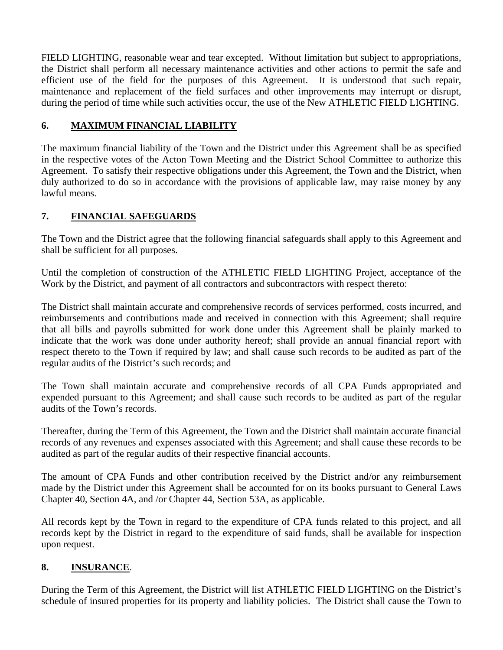FIELD LIGHTING, reasonable wear and tear excepted. Without limitation but subject to appropriations, the District shall perform all necessary maintenance activities and other actions to permit the safe and efficient use of the field for the purposes of this Agreement. It is understood that such repair, maintenance and replacement of the field surfaces and other improvements may interrupt or disrupt, during the period of time while such activities occur, the use of the New ATHLETIC FIELD LIGHTING.

## **6. MAXIMUM FINANCIAL LIABILITY**

The maximum financial liability of the Town and the District under this Agreement shall be as specified in the respective votes of the Acton Town Meeting and the District School Committee to authorize this Agreement. To satisfy their respective obligations under this Agreement, the Town and the District, when duly authorized to do so in accordance with the provisions of applicable law, may raise money by any lawful means.

## **7. FINANCIAL SAFEGUARDS**

The Town and the District agree that the following financial safeguards shall apply to this Agreement and shall be sufficient for all purposes.

Until the completion of construction of the ATHLETIC FIELD LIGHTING Project, acceptance of the Work by the District, and payment of all contractors and subcontractors with respect thereto:

The District shall maintain accurate and comprehensive records of services performed, costs incurred, and reimbursements and contributions made and received in connection with this Agreement; shall require that all bills and payrolls submitted for work done under this Agreement shall be plainly marked to indicate that the work was done under authority hereof; shall provide an annual financial report with respect thereto to the Town if required by law; and shall cause such records to be audited as part of the regular audits of the District's such records; and

The Town shall maintain accurate and comprehensive records of all CPA Funds appropriated and expended pursuant to this Agreement; and shall cause such records to be audited as part of the regular audits of the Town's records.

Thereafter, during the Term of this Agreement, the Town and the District shall maintain accurate financial records of any revenues and expenses associated with this Agreement; and shall cause these records to be audited as part of the regular audits of their respective financial accounts.

The amount of CPA Funds and other contribution received by the District and/or any reimbursement made by the District under this Agreement shall be accounted for on its books pursuant to General Laws Chapter 40, Section 4A, and /or Chapter 44, Section 53A, as applicable.

All records kept by the Town in regard to the expenditure of CPA funds related to this project, and all records kept by the District in regard to the expenditure of said funds, shall be available for inspection upon request.

## **8. INSURANCE**.

During the Term of this Agreement, the District will list ATHLETIC FIELD LIGHTING on the District's schedule of insured properties for its property and liability policies. The District shall cause the Town to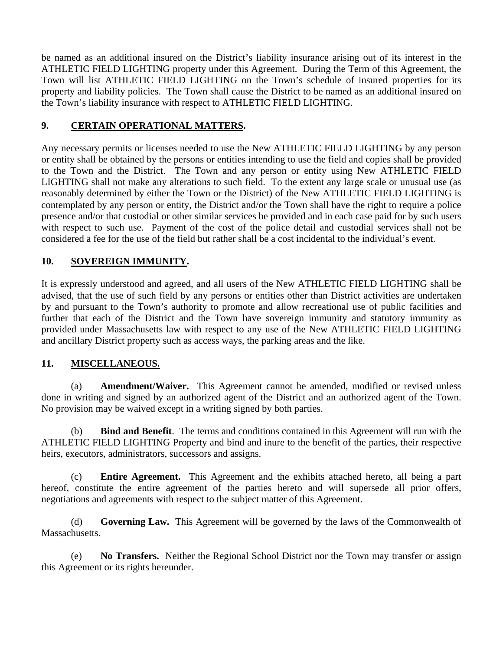be named as an additional insured on the District's liability insurance arising out of its interest in the ATHLETIC FIELD LIGHTING property under this Agreement. During the Term of this Agreement, the Town will list ATHLETIC FIELD LIGHTING on the Town's schedule of insured properties for its property and liability policies. The Town shall cause the District to be named as an additional insured on the Town's liability insurance with respect to ATHLETIC FIELD LIGHTING.

## **9. CERTAIN OPERATIONAL MATTERS.**

Any necessary permits or licenses needed to use the New ATHLETIC FIELD LIGHTING by any person or entity shall be obtained by the persons or entities intending to use the field and copies shall be provided to the Town and the District. The Town and any person or entity using New ATHLETIC FIELD LIGHTING shall not make any alterations to such field. To the extent any large scale or unusual use (as reasonably determined by either the Town or the District) of the New ATHLETIC FIELD LIGHTING is contemplated by any person or entity, the District and/or the Town shall have the right to require a police presence and/or that custodial or other similar services be provided and in each case paid for by such users with respect to such use. Payment of the cost of the police detail and custodial services shall not be considered a fee for the use of the field but rather shall be a cost incidental to the individual's event.

## **10. SOVEREIGN IMMUNITY.**

It is expressly understood and agreed, and all users of the New ATHLETIC FIELD LIGHTING shall be advised, that the use of such field by any persons or entities other than District activities are undertaken by and pursuant to the Town's authority to promote and allow recreational use of public facilities and further that each of the District and the Town have sovereign immunity and statutory immunity as provided under Massachusetts law with respect to any use of the New ATHLETIC FIELD LIGHTING and ancillary District property such as access ways, the parking areas and the like.

## **11. MISCELLANEOUS.**

 (a) **Amendment/Waiver.** This Agreement cannot be amended, modified or revised unless done in writing and signed by an authorized agent of the District and an authorized agent of the Town. No provision may be waived except in a writing signed by both parties.

 (b) **Bind and Benefit**. The terms and conditions contained in this Agreement will run with the ATHLETIC FIELD LIGHTING Property and bind and inure to the benefit of the parties, their respective heirs, executors, administrators, successors and assigns.

 (c) **Entire Agreement.** This Agreement and the exhibits attached hereto, all being a part hereof, constitute the entire agreement of the parties hereto and will supersede all prior offers, negotiations and agreements with respect to the subject matter of this Agreement.

 (d) **Governing Law.** This Agreement will be governed by the laws of the Commonwealth of Massachusetts.

 (e) **No Transfers.** Neither the Regional School District nor the Town may transfer or assign this Agreement or its rights hereunder.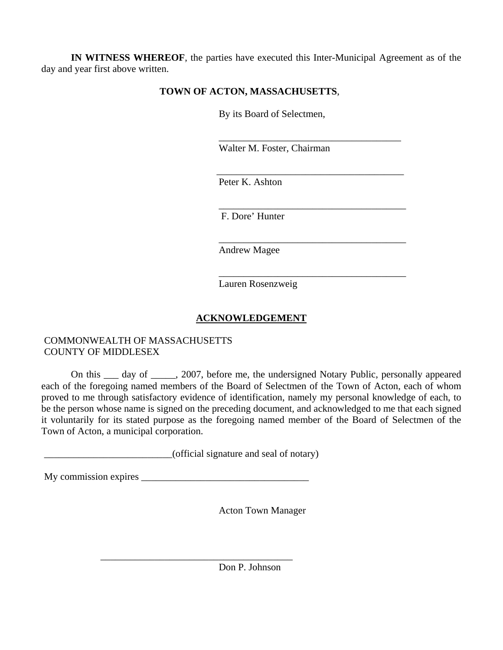**IN WITNESS WHEREOF**, the parties have executed this Inter-Municipal Agreement as of the day and year first above written.

## **TOWN OF ACTON, MASSACHUSETTS**,

By its Board of Selectmen,

Walter M. Foster, Chairman

\_\_\_\_\_\_\_\_\_\_\_\_\_\_\_\_\_\_\_\_\_\_\_\_\_\_\_\_\_\_\_\_\_\_\_\_\_\_

\_\_\_\_\_\_\_\_\_\_\_\_\_\_\_\_\_\_\_\_\_\_\_\_\_\_\_\_\_\_\_\_\_\_\_\_\_\_

Peter K. Ashton

 $\overline{\phantom{a}}$  , and the contract of the contract of the contract of the contract of the contract of the contract of the contract of the contract of the contract of the contract of the contract of the contract of the contrac

 $\overline{\phantom{a}}$  , and the contract of the contract of the contract of the contract of the contract of the contract of the contract of the contract of the contract of the contract of the contract of the contract of the contrac

 $\overline{\phantom{a}}$  , and the contract of the contract of the contract of the contract of the contract of the contract of the contract of the contract of the contract of the contract of the contract of the contract of the contrac

F. Dore' Hunter

Andrew Magee

Lauren Rosenzweig

## **ACKNOWLEDGEMENT**

## COMMONWEALTH OF MASSACHUSETTS COUNTY OF MIDDLESEX

 On this \_\_\_ day of \_\_\_\_\_, 2007, before me, the undersigned Notary Public, personally appeared each of the foregoing named members of the Board of Selectmen of the Town of Acton, each of whom proved to me through satisfactory evidence of identification, namely my personal knowledge of each, to be the person whose name is signed on the preceding document, and acknowledged to me that each signed it voluntarily for its stated purpose as the foregoing named member of the Board of Selectmen of the Town of Acton, a municipal corporation.

\_\_\_\_\_\_\_\_\_\_\_\_\_\_\_\_\_\_\_\_\_\_\_\_\_\_(official signature and seal of notary)

My commission expires \_\_\_\_\_\_\_\_\_\_\_\_\_\_\_\_\_\_\_\_\_\_\_\_\_\_\_\_\_\_\_\_\_\_

 $\overline{\phantom{a}}$  ,  $\overline{\phantom{a}}$  ,  $\overline{\phantom{a}}$  ,  $\overline{\phantom{a}}$  ,  $\overline{\phantom{a}}$  ,  $\overline{\phantom{a}}$  ,  $\overline{\phantom{a}}$  ,  $\overline{\phantom{a}}$  ,  $\overline{\phantom{a}}$  ,  $\overline{\phantom{a}}$  ,  $\overline{\phantom{a}}$  ,  $\overline{\phantom{a}}$  ,  $\overline{\phantom{a}}$  ,  $\overline{\phantom{a}}$  ,  $\overline{\phantom{a}}$  ,  $\overline{\phantom{a}}$ 

Acton Town Manager

Don P. Johnson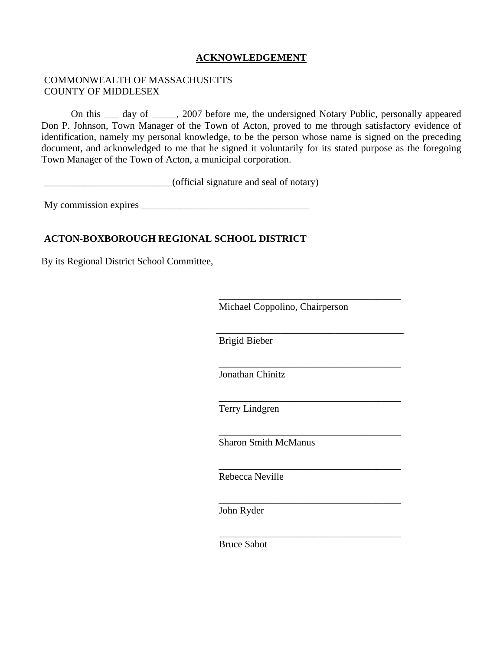## **ACKNOWLEDGEMENT**

#### COMMONWEALTH OF MASSACHUSETTS COUNTY OF MIDDLESEX

 On this \_\_\_ day of \_\_\_\_\_, 2007 before me, the undersigned Notary Public, personally appeared Don P. Johnson, Town Manager of the Town of Acton, proved to me through satisfactory evidence of identification, namely my personal knowledge, to be the person whose name is signed on the preceding document, and acknowledged to me that he signed it voluntarily for its stated purpose as the foregoing Town Manager of the Town of Acton, a municipal corporation.

\_\_\_\_\_\_\_\_\_\_\_\_\_\_\_\_\_\_\_\_\_\_\_\_\_\_(official signature and seal of notary)

My commission expires \_\_\_\_\_\_\_\_\_\_\_\_\_\_\_\_\_\_\_\_\_\_\_\_\_\_\_\_\_\_\_\_\_\_

#### **ACTON-BOXBOROUGH REGIONAL SCHOOL DISTRICT**

By its Regional District School Committee,

Michael Coppolino, Chairperson

Brigid Bieber

 $\overline{\phantom{a}}$  , and the contract of the contract of the contract of the contract of the contract of the contract of the contract of the contract of the contract of the contract of the contract of the contract of the contrac

 $\overline{\phantom{a}}$  , and the contract of the contract of the contract of the contract of the contract of the contract of the contract of the contract of the contract of the contract of the contract of the contract of the contrac

 $\overline{\phantom{a}}$  , and the contract of the contract of the contract of the contract of the contract of the contract of the contract of the contract of the contract of the contract of the contract of the contract of the contrac

 $\overline{\phantom{a}}$  , and the contract of the contract of the contract of the contract of the contract of the contract of the contract of the contract of the contract of the contract of the contract of the contract of the contrac

 $\overline{\phantom{a}}$  , which is a set of the set of the set of the set of the set of the set of the set of the set of the set of the set of the set of the set of the set of the set of the set of the set of the set of the set of th

 $\overline{\phantom{a}}$  , and the contract of the contract of the contract of the contract of the contract of the contract of the contract of the contract of the contract of the contract of the contract of the contract of the contrac

 $\overline{\phantom{a}}$  , and the contract of the contract of the contract of the contract of the contract of the contract of the contract of the contract of the contract of the contract of the contract of the contract of the contrac

 $\overline{\phantom{a}}$  , and the contract of the contract of the contract of the contract of the contract of the contract of the contract of the contract of the contract of the contract of the contract of the contract of the contrac

Jonathan Chinitz

Terry Lindgren

Sharon Smith McManus

Rebecca Neville

John Ryder

Bruce Sabot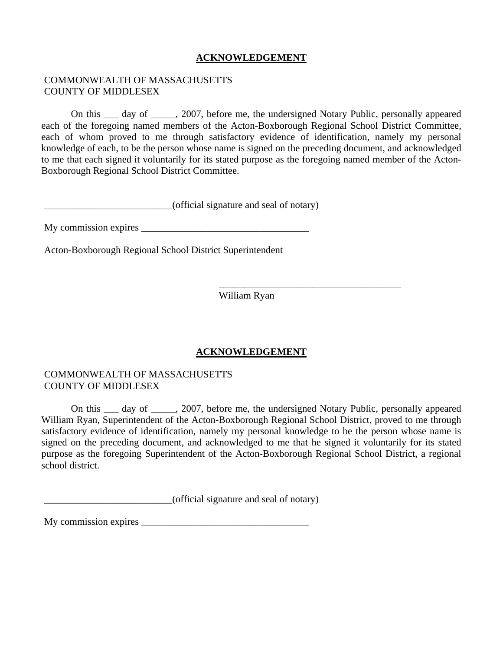## **ACKNOWLEDGEMENT**

#### COMMONWEALTH OF MASSACHUSETTS COUNTY OF MIDDLESEX

 On this \_\_\_ day of \_\_\_\_\_, 2007, before me, the undersigned Notary Public, personally appeared each of the foregoing named members of the Acton-Boxborough Regional School District Committee, each of whom proved to me through satisfactory evidence of identification, namely my personal knowledge of each, to be the person whose name is signed on the preceding document, and acknowledged to me that each signed it voluntarily for its stated purpose as the foregoing named member of the Acton-Boxborough Regional School District Committee.

\_\_\_\_\_\_\_\_\_\_\_\_\_\_\_\_\_\_\_\_\_\_\_\_\_\_(official signature and seal of notary)

My commission expires \_\_\_\_\_\_\_\_\_\_\_\_\_\_\_\_\_\_\_\_\_\_\_\_\_\_\_\_\_\_\_\_\_\_

Acton-Boxborough Regional School District Superintendent

William Ryan

 $\overline{\phantom{a}}$  , and the contract of the contract of the contract of the contract of the contract of the contract of the contract of the contract of the contract of the contract of the contract of the contract of the contrac

## **ACKNOWLEDGEMENT**

#### COMMONWEALTH OF MASSACHUSETTS COUNTY OF MIDDLESEX

On this day of cases, 2007, before me, the undersigned Notary Public, personally appeared William Ryan, Superintendent of the Acton-Boxborough Regional School District, proved to me through satisfactory evidence of identification, namely my personal knowledge to be the person whose name is signed on the preceding document, and acknowledged to me that he signed it voluntarily for its stated purpose as the foregoing Superintendent of the Acton-Boxborough Regional School District, a regional school district.

\_\_\_\_\_\_\_\_\_\_\_\_\_\_\_\_\_\_\_\_\_\_\_\_\_\_(official signature and seal of notary)

My commission expires \_\_\_\_\_\_\_\_\_\_\_\_\_\_\_\_\_\_\_\_\_\_\_\_\_\_\_\_\_\_\_\_\_\_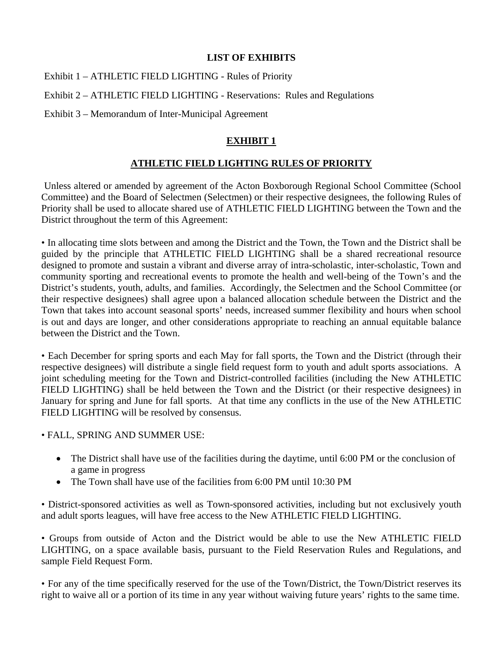#### **LIST OF EXHIBITS**

Exhibit 1 – ATHLETIC FIELD LIGHTING - Rules of Priority

Exhibit 2 – ATHLETIC FIELD LIGHTING - Reservations: Rules and Regulations

Exhibit 3 – Memorandum of Inter-Municipal Agreement

## **EXHIBIT 1**

## **ATHLETIC FIELD LIGHTING RULES OF PRIORITY**

Unless altered or amended by agreement of the Acton Boxborough Regional School Committee (School Committee) and the Board of Selectmen (Selectmen) or their respective designees, the following Rules of Priority shall be used to allocate shared use of ATHLETIC FIELD LIGHTING between the Town and the District throughout the term of this Agreement:

• In allocating time slots between and among the District and the Town, the Town and the District shall be guided by the principle that ATHLETIC FIELD LIGHTING shall be a shared recreational resource designed to promote and sustain a vibrant and diverse array of intra-scholastic, inter-scholastic, Town and community sporting and recreational events to promote the health and well-being of the Town's and the District's students, youth, adults, and families. Accordingly, the Selectmen and the School Committee (or their respective designees) shall agree upon a balanced allocation schedule between the District and the Town that takes into account seasonal sports' needs, increased summer flexibility and hours when school is out and days are longer, and other considerations appropriate to reaching an annual equitable balance between the District and the Town.

• Each December for spring sports and each May for fall sports, the Town and the District (through their respective designees) will distribute a single field request form to youth and adult sports associations. A joint scheduling meeting for the Town and District-controlled facilities (including the New ATHLETIC FIELD LIGHTING) shall be held between the Town and the District (or their respective designees) in January for spring and June for fall sports. At that time any conflicts in the use of the New ATHLETIC FIELD LIGHTING will be resolved by consensus.

• FALL, SPRING AND SUMMER USE:

- The District shall have use of the facilities during the daytime, until 6:00 PM or the conclusion of a game in progress
- The Town shall have use of the facilities from 6:00 PM until 10:30 PM

• District-sponsored activities as well as Town-sponsored activities, including but not exclusively youth and adult sports leagues, will have free access to the New ATHLETIC FIELD LIGHTING.

• Groups from outside of Acton and the District would be able to use the New ATHLETIC FIELD LIGHTING, on a space available basis, pursuant to the Field Reservation Rules and Regulations, and sample Field Request Form.

• For any of the time specifically reserved for the use of the Town/District, the Town/District reserves its right to waive all or a portion of its time in any year without waiving future years' rights to the same time.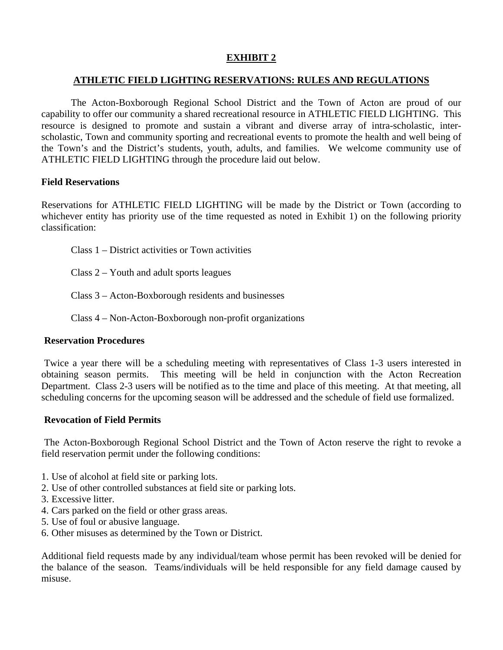## **EXHIBIT 2**

#### **ATHLETIC FIELD LIGHTING RESERVATIONS: RULES AND REGULATIONS**

 The Acton-Boxborough Regional School District and the Town of Acton are proud of our capability to offer our community a shared recreational resource in ATHLETIC FIELD LIGHTING. This resource is designed to promote and sustain a vibrant and diverse array of intra-scholastic, interscholastic, Town and community sporting and recreational events to promote the health and well being of the Town's and the District's students, youth, adults, and families. We welcome community use of ATHLETIC FIELD LIGHTING through the procedure laid out below.

#### **Field Reservations**

Reservations for ATHLETIC FIELD LIGHTING will be made by the District or Town (according to whichever entity has priority use of the time requested as noted in Exhibit 1) on the following priority classification:

- Class 1 District activities or Town activities
- Class 2 Youth and adult sports leagues
- Class 3 Acton-Boxborough residents and businesses
- Class 4 Non-Acton-Boxborough non-profit organizations

#### **Reservation Procedures**

Twice a year there will be a scheduling meeting with representatives of Class 1-3 users interested in obtaining season permits. This meeting will be held in conjunction with the Acton Recreation Department. Class 2-3 users will be notified as to the time and place of this meeting. At that meeting, all scheduling concerns for the upcoming season will be addressed and the schedule of field use formalized.

#### **Revocation of Field Permits**

The Acton-Boxborough Regional School District and the Town of Acton reserve the right to revoke a field reservation permit under the following conditions:

- 1. Use of alcohol at field site or parking lots.
- 2. Use of other controlled substances at field site or parking lots.
- 3. Excessive litter.
- 4. Cars parked on the field or other grass areas.
- 5. Use of foul or abusive language.
- 6. Other misuses as determined by the Town or District.

Additional field requests made by any individual/team whose permit has been revoked will be denied for the balance of the season. Teams/individuals will be held responsible for any field damage caused by misuse.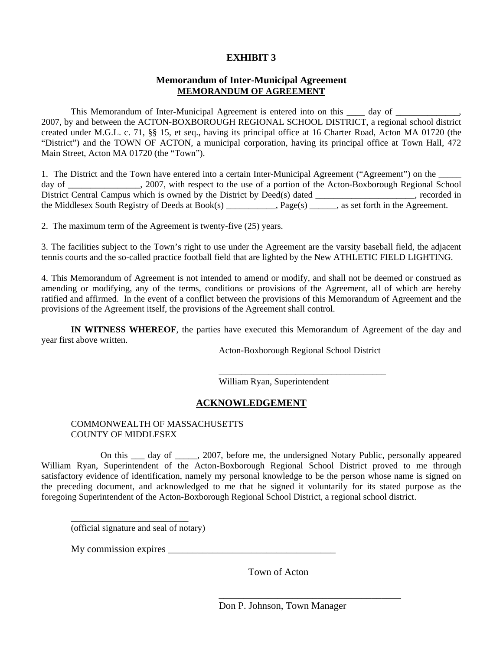### **EXHIBIT 3**

#### **Memorandum of Inter-Municipal Agreement MEMORANDUM OF AGREEMENT**

This Memorandum of Inter-Municipal Agreement is entered into on this \_\_\_\_ day of \_\_\_\_\_\_\_\_\_\_\_\_, 2007, by and between the ACTON-BOXBOROUGH REGIONAL SCHOOL DISTRICT, a regional school district created under M.G.L. c. 71, §§ 15, et seq., having its principal office at 16 Charter Road, Acton MA 01720 (the "District") and the TOWN OF ACTON, a municipal corporation, having its principal office at Town Hall, 472 Main Street, Acton MA 01720 (the "Town").

1. The District and the Town have entered into a certain Inter-Municipal Agreement ("Agreement") on the day of \_\_\_\_\_\_\_\_\_\_\_\_\_\_\_\_, 2007, with respect to the use of a portion of the Acton-Boxborough Regional School District Central Campus which is owned by the District by Deed(s) dated \_\_\_\_\_\_\_\_\_\_\_\_\_\_\_\_, recorded in the Middlesex South Registry of Deeds at Book(s) Page(s), as set forth in the Agreement.

2. The maximum term of the Agreement is twenty-five (25) years.

3. The facilities subject to the Town's right to use under the Agreement are the varsity baseball field, the adjacent tennis courts and the so-called practice football field that are lighted by the New ATHLETIC FIELD LIGHTING.

4. This Memorandum of Agreement is not intended to amend or modify, and shall not be deemed or construed as amending or modifying, any of the terms, conditions or provisions of the Agreement, all of which are hereby ratified and affirmed. In the event of a conflict between the provisions of this Memorandum of Agreement and the provisions of the Agreement itself, the provisions of the Agreement shall control.

**IN WITNESS WHEREOF**, the parties have executed this Memorandum of Agreement of the day and year first above written.

Acton-Boxborough Regional School District

William Ryan, Superintendent

## **ACKNOWLEDGEMENT**

 $\overline{\phantom{a}}$  , and the contract of the contract of the contract of the contract of the contract of the contract of the contract of the contract of the contract of the contract of the contract of the contract of the contrac

#### COMMONWEALTH OF MASSACHUSETTS COUNTY OF MIDDLESEX

 On this \_\_\_ day of \_\_\_\_\_, 2007, before me, the undersigned Notary Public, personally appeared William Ryan, Superintendent of the Acton-Boxborough Regional School District proved to me through satisfactory evidence of identification, namely my personal knowledge to be the person whose name is signed on the preceding document, and acknowledged to me that he signed it voluntarily for its stated purpose as the foregoing Superintendent of the Acton-Boxborough Regional School District, a regional school district.

(official signature and seal of notary)

My commission expires \_\_\_\_\_\_\_\_\_\_\_\_\_\_\_\_\_\_\_\_\_\_\_\_\_\_\_\_\_\_\_\_\_\_

 $\frac{1}{\sqrt{2}}$  ,  $\frac{1}{\sqrt{2}}$  ,  $\frac{1}{\sqrt{2}}$  ,  $\frac{1}{\sqrt{2}}$  ,  $\frac{1}{\sqrt{2}}$  ,  $\frac{1}{\sqrt{2}}$  ,  $\frac{1}{\sqrt{2}}$  ,  $\frac{1}{\sqrt{2}}$  ,  $\frac{1}{\sqrt{2}}$  ,  $\frac{1}{\sqrt{2}}$  ,  $\frac{1}{\sqrt{2}}$  ,  $\frac{1}{\sqrt{2}}$  ,  $\frac{1}{\sqrt{2}}$  ,  $\frac{1}{\sqrt{2}}$  ,  $\frac{1}{\sqrt{2}}$ 

Town of Acton

\_\_\_\_\_\_\_\_\_\_\_\_\_\_\_\_\_\_\_\_\_\_\_\_\_\_\_\_\_\_\_\_\_\_\_\_\_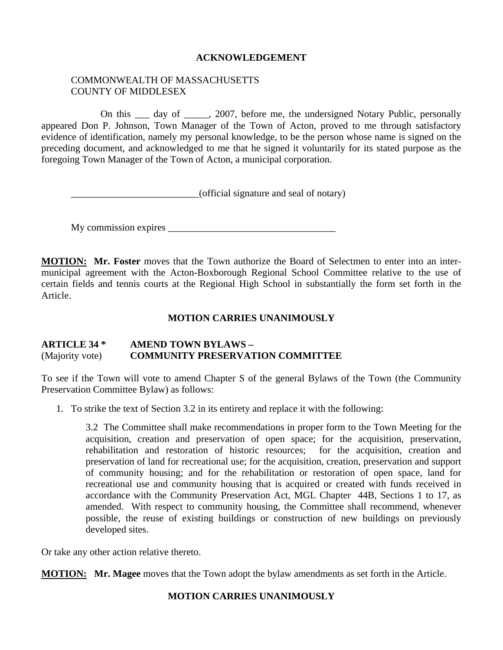#### **ACKNOWLEDGEMENT**

#### COMMONWEALTH OF MASSACHUSETTS COUNTY OF MIDDLESEX

 On this \_\_\_ day of \_\_\_\_\_, 2007, before me, the undersigned Notary Public, personally appeared Don P. Johnson, Town Manager of the Town of Acton, proved to me through satisfactory evidence of identification, namely my personal knowledge, to be the person whose name is signed on the preceding document, and acknowledged to me that he signed it voluntarily for its stated purpose as the foregoing Town Manager of the Town of Acton, a municipal corporation.

\_\_\_\_\_\_\_\_\_\_\_\_\_\_\_\_\_\_\_\_\_\_\_\_\_\_(official signature and seal of notary)

My commission expires \_\_\_\_\_\_\_\_\_\_\_\_\_\_\_\_\_\_\_\_\_\_\_\_\_\_\_\_\_\_\_\_\_\_

**MOTION: Mr. Foster** moves that the Town authorize the Board of Selectmen to enter into an intermunicipal agreement with the Acton-Boxborough Regional School Committee relative to the use of certain fields and tennis courts at the Regional High School in substantially the form set forth in the Article.

#### **MOTION CARRIES UNANIMOUSLY**

#### **ARTICLE 34 \* AMEND TOWN BYLAWS –**  (Majority vote) **COMMUNITY PRESERVATION COMMITTEE**

To see if the Town will vote to amend Chapter S of the general Bylaws of the Town (the Community Preservation Committee Bylaw) as follows:

1. To strike the text of Section 3.2 in its entirety and replace it with the following:

3.2 The Committee shall make recommendations in proper form to the Town Meeting for the acquisition, creation and preservation of open space; for the acquisition, preservation, rehabilitation and restoration of historic resources; for the acquisition, creation and preservation of land for recreational use; for the acquisition, creation, preservation and support of community housing; and for the rehabilitation or restoration of open space, land for recreational use and community housing that is acquired or created with funds received in accordance with the Community Preservation Act, MGL Chapter 44B, Sections 1 to 17, as amended. With respect to community housing, the Committee shall recommend, whenever possible, the reuse of existing buildings or construction of new buildings on previously developed sites.

Or take any other action relative thereto.

**MOTION: Mr. Magee** moves that the Town adopt the bylaw amendments as set forth in the Article.

## **MOTION CARRIES UNANIMOUSLY**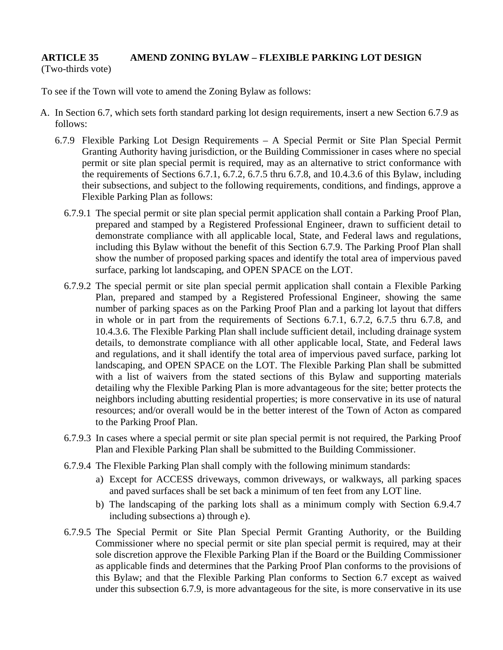## **ARTICLE 35 AMEND ZONING BYLAW – FLEXIBLE PARKING LOT DESIGN**

(Two-thirds vote)

To see if the Town will vote to amend the Zoning Bylaw as follows:

- A. In Section 6.7, which sets forth standard parking lot design requirements, insert a new Section 6.7.9 as follows:
	- 6.7.9 Flexible Parking Lot Design Requirements A Special Permit or Site Plan Special Permit Granting Authority having jurisdiction, or the Building Commissioner in cases where no special permit or site plan special permit is required, may as an alternative to strict conformance with the requirements of Sections 6.7.1, 6.7.2, 6.7.5 thru 6.7.8, and 10.4.3.6 of this Bylaw, including their subsections, and subject to the following requirements, conditions, and findings, approve a Flexible Parking Plan as follows:
		- 6.7.9.1 The special permit or site plan special permit application shall contain a Parking Proof Plan, prepared and stamped by a Registered Professional Engineer, drawn to sufficient detail to demonstrate compliance with all applicable local, State, and Federal laws and regulations, including this Bylaw without the benefit of this Section 6.7.9. The Parking Proof Plan shall show the number of proposed parking spaces and identify the total area of impervious paved surface, parking lot landscaping, and OPEN SPACE on the LOT.
		- 6.7.9.2 The special permit or site plan special permit application shall contain a Flexible Parking Plan, prepared and stamped by a Registered Professional Engineer, showing the same number of parking spaces as on the Parking Proof Plan and a parking lot layout that differs in whole or in part from the requirements of Sections 6.7.1, 6.7.2, 6.7.5 thru 6.7.8, and 10.4.3.6. The Flexible Parking Plan shall include sufficient detail, including drainage system details, to demonstrate compliance with all other applicable local, State, and Federal laws and regulations, and it shall identify the total area of impervious paved surface, parking lot landscaping, and OPEN SPACE on the LOT. The Flexible Parking Plan shall be submitted with a list of waivers from the stated sections of this Bylaw and supporting materials detailing why the Flexible Parking Plan is more advantageous for the site; better protects the neighbors including abutting residential properties; is more conservative in its use of natural resources; and/or overall would be in the better interest of the Town of Acton as compared to the Parking Proof Plan.
		- 6.7.9.3 In cases where a special permit or site plan special permit is not required, the Parking Proof Plan and Flexible Parking Plan shall be submitted to the Building Commissioner.
		- 6.7.9.4 The Flexible Parking Plan shall comply with the following minimum standards:
			- a) Except for ACCESS driveways, common driveways, or walkways, all parking spaces and paved surfaces shall be set back a minimum of ten feet from any LOT line.
			- b) The landscaping of the parking lots shall as a minimum comply with Section 6.9.4.7 including subsections a) through e).
		- 6.7.9.5 The Special Permit or Site Plan Special Permit Granting Authority, or the Building Commissioner where no special permit or site plan special permit is required, may at their sole discretion approve the Flexible Parking Plan if the Board or the Building Commissioner as applicable finds and determines that the Parking Proof Plan conforms to the provisions of this Bylaw; and that the Flexible Parking Plan conforms to Section 6.7 except as waived under this subsection 6.7.9, is more advantageous for the site, is more conservative in its use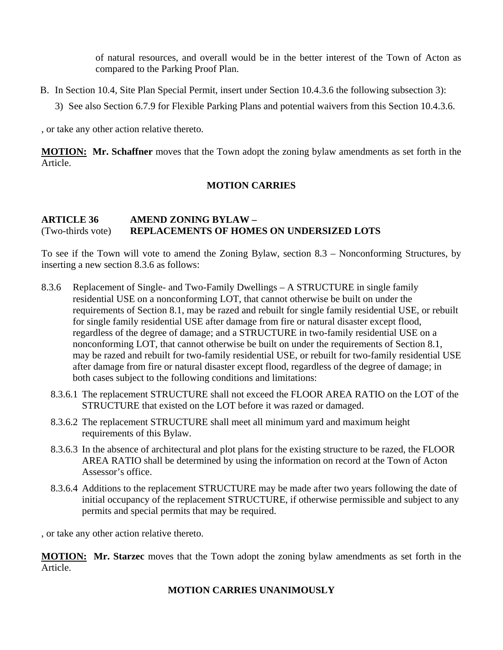of natural resources, and overall would be in the better interest of the Town of Acton as compared to the Parking Proof Plan.

- B. In Section 10.4, Site Plan Special Permit, insert under Section 10.4.3.6 the following subsection 3):
	- 3) See also Section 6.7.9 for Flexible Parking Plans and potential waivers from this Section 10.4.3.6.

, or take any other action relative thereto.

**MOTION: Mr. Schaffner** moves that the Town adopt the zoning bylaw amendments as set forth in the Article.

#### **MOTION CARRIES**

### **ARTICLE 36 AMEND ZONING BYLAW –**  (Two-thirds vote) **REPLACEMENTS OF HOMES ON UNDERSIZED LOTS**

To see if the Town will vote to amend the Zoning Bylaw, section 8.3 – Nonconforming Structures, by inserting a new section 8.3.6 as follows:

- 8.3.6 Replacement of Single- and Two-Family Dwellings A STRUCTURE in single family residential USE on a nonconforming LOT, that cannot otherwise be built on under the requirements of Section 8.1, may be razed and rebuilt for single family residential USE, or rebuilt for single family residential USE after damage from fire or natural disaster except flood, regardless of the degree of damage; and a STRUCTURE in two-family residential USE on a nonconforming LOT, that cannot otherwise be built on under the requirements of Section 8.1, may be razed and rebuilt for two-family residential USE, or rebuilt for two-family residential USE after damage from fire or natural disaster except flood, regardless of the degree of damage; in both cases subject to the following conditions and limitations:
	- 8.3.6.1 The replacement STRUCTURE shall not exceed the FLOOR AREA RATIO on the LOT of the STRUCTURE that existed on the LOT before it was razed or damaged.
	- 8.3.6.2 The replacement STRUCTURE shall meet all minimum yard and maximum height requirements of this Bylaw.
	- 8.3.6.3 In the absence of architectural and plot plans for the existing structure to be razed, the FLOOR AREA RATIO shall be determined by using the information on record at the Town of Acton Assessor's office.
	- 8.3.6.4 Additions to the replacement STRUCTURE may be made after two years following the date of initial occupancy of the replacement STRUCTURE, if otherwise permissible and subject to any permits and special permits that may be required.

, or take any other action relative thereto.

**MOTION: Mr. Starzec** moves that the Town adopt the zoning bylaw amendments as set forth in the Article.

#### **MOTION CARRIES UNANIMOUSLY**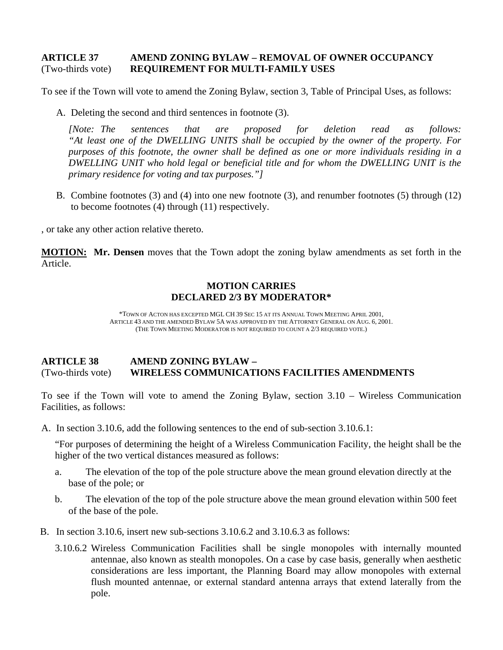#### **ARTICLE 37 AMEND ZONING BYLAW – REMOVAL OF OWNER OCCUPANCY**  (Two-thirds vote) **REQUIREMENT FOR MULTI-FAMILY USES**

To see if the Town will vote to amend the Zoning Bylaw, section 3, Table of Principal Uses, as follows:

A. Deleting the second and third sentences in footnote (3).

*[Note: The sentences that are proposed for deletion read as follows: "At least one of the DWELLING UNITS shall be occupied by the owner of the property. For purposes of this footnote, the owner shall be defined as one or more individuals residing in a DWELLING UNIT who hold legal or beneficial title and for whom the DWELLING UNIT is the primary residence for voting and tax purposes."]* 

B. Combine footnotes (3) and (4) into one new footnote (3), and renumber footnotes (5) through (12) to become footnotes (4) through (11) respectively.

, or take any other action relative thereto.

**MOTION: Mr. Densen** moves that the Town adopt the zoning bylaw amendments as set forth in the Article.

#### **MOTION CARRIES DECLARED 2/3 BY MODERATOR\***

\*TOWN OF ACTON HAS EXCEPTED MGL CH 39 SEC 15 AT ITS ANNUAL TOWN MEETING APRIL 2001, ARTICLE 43 AND THE AMENDED BYLAW 5A WAS APPROVED BY THE ATTORNEY GENERAL ON AUG. 6, 2001. (THE TOWN MEETING MODERATOR IS NOT REQUIRED TO COUNT A 2/3 REQUIRED VOTE.)

#### **ARTICLE 38 AMEND ZONING BYLAW –**  (Two-thirds vote) **WIRELESS COMMUNICATIONS FACILITIES AMENDMENTS**

To see if the Town will vote to amend the Zoning Bylaw, section 3.10 – Wireless Communication Facilities, as follows:

A. In section 3.10.6, add the following sentences to the end of sub-section 3.10.6.1:

"For purposes of determining the height of a Wireless Communication Facility, the height shall be the higher of the two vertical distances measured as follows:

- a. The elevation of the top of the pole structure above the mean ground elevation directly at the base of the pole; or
- b. The elevation of the top of the pole structure above the mean ground elevation within 500 feet of the base of the pole.
- B. In section 3.10.6, insert new sub-sections 3.10.6.2 and 3.10.6.3 as follows:
	- 3.10.6.2 Wireless Communication Facilities shall be single monopoles with internally mounted antennae, also known as stealth monopoles. On a case by case basis, generally when aesthetic considerations are less important, the Planning Board may allow monopoles with external flush mounted antennae, or external standard antenna arrays that extend laterally from the pole.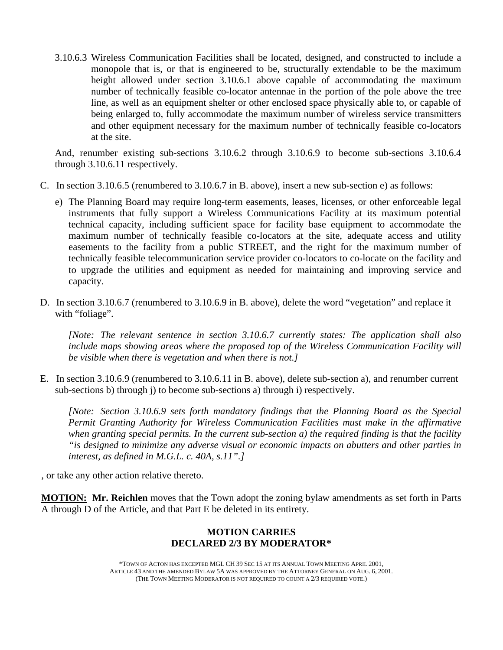3.10.6.3 Wireless Communication Facilities shall be located, designed, and constructed to include a monopole that is, or that is engineered to be, structurally extendable to be the maximum height allowed under section 3.10.6.1 above capable of accommodating the maximum number of technically feasible co-locator antennae in the portion of the pole above the tree line, as well as an equipment shelter or other enclosed space physically able to, or capable of being enlarged to, fully accommodate the maximum number of wireless service transmitters and other equipment necessary for the maximum number of technically feasible co-locators at the site.

And, renumber existing sub-sections 3.10.6.2 through 3.10.6.9 to become sub-sections 3.10.6.4 through 3.10.6.11 respectively.

- C. In section 3.10.6.5 (renumbered to 3.10.6.7 in B. above), insert a new sub-section e) as follows:
	- e) The Planning Board may require long-term easements, leases, licenses, or other enforceable legal instruments that fully support a Wireless Communications Facility at its maximum potential technical capacity, including sufficient space for facility base equipment to accommodate the maximum number of technically feasible co-locators at the site, adequate access and utility easements to the facility from a public STREET, and the right for the maximum number of technically feasible telecommunication service provider co-locators to co-locate on the facility and to upgrade the utilities and equipment as needed for maintaining and improving service and capacity.
- D. In section 3.10.6.7 (renumbered to 3.10.6.9 in B. above), delete the word "vegetation" and replace it with "foliage".

*[Note: The relevant sentence in section 3.10.6.7 currently states: The application shall also include maps showing areas where the proposed top of the Wireless Communication Facility will be visible when there is vegetation and when there is not.]*

E. In section 3.10.6.9 (renumbered to 3.10.6.11 in B. above), delete sub-section a), and renumber current sub-sections b) through j) to become sub-sections a) through i) respectively.

*[Note: Section 3.10.6.9 sets forth mandatory findings that the Planning Board as the Special Permit Granting Authority for Wireless Communication Facilities must make in the affirmative when granting special permits. In the current sub-section a) the required finding is that the facility "is designed to minimize any adverse visual or economic impacts on abutters and other parties in interest, as defined in M.G.L. c. 40A, s.11".]* 

, or take any other action relative thereto.

**MOTION: Mr. Reichlen** moves that the Town adopt the zoning bylaw amendments as set forth in Parts A through D of the Article, and that Part E be deleted in its entirety.

#### **MOTION CARRIES DECLARED 2/3 BY MODERATOR\***

\*TOWN OF ACTON HAS EXCEPTED MGL CH 39 SEC 15 AT ITS ANNUAL TOWN MEETING APRIL 2001, ARTICLE 43 AND THE AMENDED BYLAW 5A WAS APPROVED BY THE ATTORNEY GENERAL ON AUG. 6, 2001. (THE TOWN MEETING MODERATOR IS NOT REQUIRED TO COUNT A 2/3 REQUIRED VOTE.)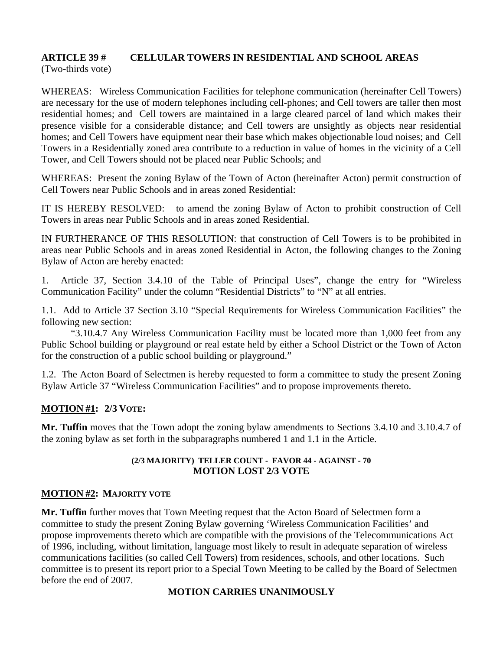# **ARTICLE 39 # CELLULAR TOWERS IN RESIDENTIAL AND SCHOOL AREAS**

(Two-thirds vote)

WHEREAS: Wireless Communication Facilities for telephone communication (hereinafter Cell Towers) are necessary for the use of modern telephones including cell-phones; and Cell towers are taller then most residential homes; and Cell towers are maintained in a large cleared parcel of land which makes their presence visible for a considerable distance; and Cell towers are unsightly as objects near residential homes; and Cell Towers have equipment near their base which makes objectionable loud noises; and Cell Towers in a Residentially zoned area contribute to a reduction in value of homes in the vicinity of a Cell Tower, and Cell Towers should not be placed near Public Schools; and

WHEREAS: Present the zoning Bylaw of the Town of Acton (hereinafter Acton) permit construction of Cell Towers near Public Schools and in areas zoned Residential:

IT IS HEREBY RESOLVED: to amend the zoning Bylaw of Acton to prohibit construction of Cell Towers in areas near Public Schools and in areas zoned Residential.

IN FURTHERANCE OF THIS RESOLUTION: that construction of Cell Towers is to be prohibited in areas near Public Schools and in areas zoned Residential in Acton, the following changes to the Zoning Bylaw of Acton are hereby enacted:

1. Article 37, Section 3.4.10 of the Table of Principal Uses", change the entry for "Wireless Communication Facility" under the column "Residential Districts" to "N" at all entries.

1.1. Add to Article 37 Section 3.10 "Special Requirements for Wireless Communication Facilities" the following new section:

"3.10.4.7 Any Wireless Communication Facility must be located more than 1,000 feet from any Public School building or playground or real estate held by either a School District or the Town of Acton for the construction of a public school building or playground."

1.2. The Acton Board of Selectmen is hereby requested to form a committee to study the present Zoning Bylaw Article 37 "Wireless Communication Facilities" and to propose improvements thereto.

## **MOTION #1: 2/3 VOTE:**

**Mr. Tuffin** moves that the Town adopt the zoning bylaw amendments to Sections 3.4.10 and 3.10.4.7 of the zoning bylaw as set forth in the subparagraphs numbered 1 and 1.1 in the Article.

#### **(2/3 MAJORITY) TELLER COUNT - FAVOR 44 - AGAINST - 70 MOTION LOST 2/3 VOTE**

## **MOTION #2: MAJORITY VOTE**

**Mr. Tuffin** further moves that Town Meeting request that the Acton Board of Selectmen form a committee to study the present Zoning Bylaw governing 'Wireless Communication Facilities' and propose improvements thereto which are compatible with the provisions of the Telecommunications Act of 1996, including, without limitation, language most likely to result in adequate separation of wireless communications facilities (so called Cell Towers) from residences, schools, and other locations. Such committee is to present its report prior to a Special Town Meeting to be called by the Board of Selectmen before the end of 2007.

## **MOTION CARRIES UNANIMOUSLY**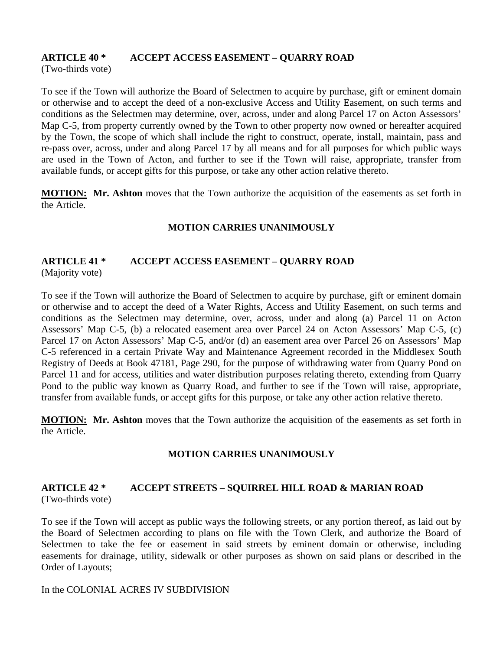## **ARTICLE 40 \* ACCEPT ACCESS EASEMENT – QUARRY ROAD**

(Two-thirds vote)

To see if the Town will authorize the Board of Selectmen to acquire by purchase, gift or eminent domain or otherwise and to accept the deed of a non-exclusive Access and Utility Easement, on such terms and conditions as the Selectmen may determine, over, across, under and along Parcel 17 on Acton Assessors' Map C-5, from property currently owned by the Town to other property now owned or hereafter acquired by the Town, the scope of which shall include the right to construct, operate, install, maintain, pass and re-pass over, across, under and along Parcel 17 by all means and for all purposes for which public ways are used in the Town of Acton, and further to see if the Town will raise, appropriate, transfer from available funds, or accept gifts for this purpose, or take any other action relative thereto.

**MOTION:** Mr. Ashton moves that the Town authorize the acquisition of the easements as set forth in the Article.

#### **MOTION CARRIES UNANIMOUSLY**

### **ARTICLE 41 \* ACCEPT ACCESS EASEMENT – QUARRY ROAD**  (Majority vote)

To see if the Town will authorize the Board of Selectmen to acquire by purchase, gift or eminent domain or otherwise and to accept the deed of a Water Rights, Access and Utility Easement, on such terms and conditions as the Selectmen may determine, over, across, under and along (a) Parcel 11 on Acton Assessors' Map C-5, (b) a relocated easement area over Parcel 24 on Acton Assessors' Map C-5, (c) Parcel 17 on Acton Assessors' Map C-5, and/or (d) an easement area over Parcel 26 on Assessors' Map C-5 referenced in a certain Private Way and Maintenance Agreement recorded in the Middlesex South Registry of Deeds at Book 47181, Page 290, for the purpose of withdrawing water from Quarry Pond on Parcel 11 and for access, utilities and water distribution purposes relating thereto, extending from Quarry Pond to the public way known as Quarry Road, and further to see if the Town will raise, appropriate, transfer from available funds, or accept gifts for this purpose, or take any other action relative thereto.

**MOTION: Mr. Ashton** moves that the Town authorize the acquisition of the easements as set forth in the Article.

## **MOTION CARRIES UNANIMOUSLY**

#### **ARTICLE 42 \* ACCEPT STREETS – SQUIRREL HILL ROAD & MARIAN ROAD**  (Two-thirds vote)

To see if the Town will accept as public ways the following streets, or any portion thereof, as laid out by the Board of Selectmen according to plans on file with the Town Clerk, and authorize the Board of Selectmen to take the fee or easement in said streets by eminent domain or otherwise, including easements for drainage, utility, sidewalk or other purposes as shown on said plans or described in the Order of Layouts;

#### In the COLONIAL ACRES IV SUBDIVISION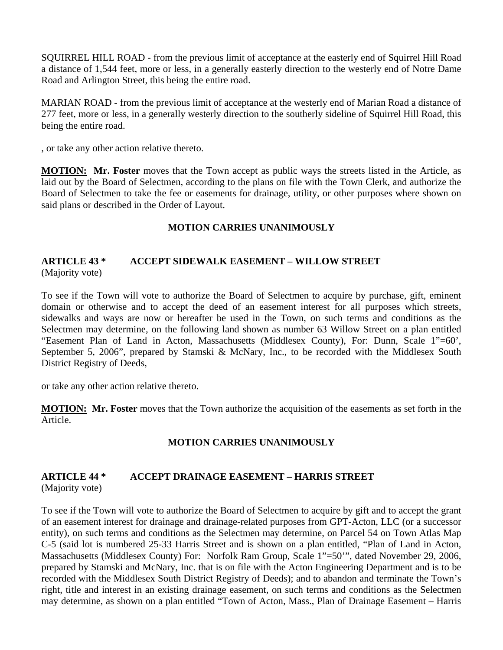SQUIRREL HILL ROAD - from the previous limit of acceptance at the easterly end of Squirrel Hill Road a distance of 1,544 feet, more or less, in a generally easterly direction to the westerly end of Notre Dame Road and Arlington Street, this being the entire road.

MARIAN ROAD - from the previous limit of acceptance at the westerly end of Marian Road a distance of 277 feet, more or less, in a generally westerly direction to the southerly sideline of Squirrel Hill Road, this being the entire road.

, or take any other action relative thereto.

**MOTION: Mr. Foster** moves that the Town accept as public ways the streets listed in the Article, as laid out by the Board of Selectmen, according to the plans on file with the Town Clerk, and authorize the Board of Selectmen to take the fee or easements for drainage, utility, or other purposes where shown on said plans or described in the Order of Layout.

## **MOTION CARRIES UNANIMOUSLY**

## **ARTICLE 43 \* ACCEPT SIDEWALK EASEMENT – WILLOW STREET**  (Majority vote)

To see if the Town will vote to authorize the Board of Selectmen to acquire by purchase, gift, eminent domain or otherwise and to accept the deed of an easement interest for all purposes which streets, sidewalks and ways are now or hereafter be used in the Town, on such terms and conditions as the Selectmen may determine, on the following land shown as number 63 Willow Street on a plan entitled "Easement Plan of Land in Acton, Massachusetts (Middlesex County), For: Dunn, Scale 1"=60', September 5, 2006", prepared by Stamski & McNary, Inc., to be recorded with the Middlesex South District Registry of Deeds,

or take any other action relative thereto.

**MOTION: Mr. Foster** moves that the Town authorize the acquisition of the easements as set forth in the Article.

## **MOTION CARRIES UNANIMOUSLY**

#### **ARTICLE 44 \* ACCEPT DRAINAGE EASEMENT – HARRIS STREET**  (Majority vote)

To see if the Town will vote to authorize the Board of Selectmen to acquire by gift and to accept the grant of an easement interest for drainage and drainage-related purposes from GPT-Acton, LLC (or a successor entity), on such terms and conditions as the Selectmen may determine, on Parcel 54 on Town Atlas Map C-5 (said lot is numbered 25-33 Harris Street and is shown on a plan entitled, "Plan of Land in Acton, Massachusetts (Middlesex County) For: Norfolk Ram Group, Scale 1"=50'", dated November 29, 2006, prepared by Stamski and McNary, Inc. that is on file with the Acton Engineering Department and is to be recorded with the Middlesex South District Registry of Deeds); and to abandon and terminate the Town's right, title and interest in an existing drainage easement, on such terms and conditions as the Selectmen may determine, as shown on a plan entitled "Town of Acton, Mass., Plan of Drainage Easement – Harris